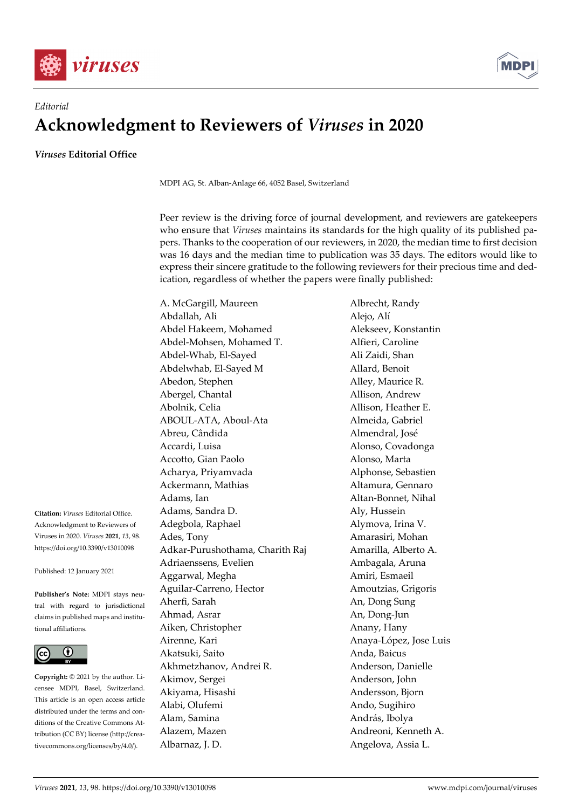



## *Editorial*  **Acknowledgment to Reviewers of** *Viruses* **in 2020**

*Viruses* **Editorial Office** 

MDPI AG, St. Alban-Anlage 66, 4052 Basel, Switzerland

Peer review is the driving force of journal development, and reviewers are gatekeepers who ensure that *Viruses* maintains its standards for the high quality of its published papers. Thanks to the cooperation of our reviewers, in 2020, the median time to first decision was 16 days and the median time to publication was 35 days. The editors would like to express their sincere gratitude to the following reviewers for their precious time and dedication, regardless of whether the papers were finally published:

A. McGargill, Maureen Albrecht, Randy Abdallah, Ali Alejo, Alí Abdel Hakeem, Mohamed Alekseev, Konstantin Abdel-Mohsen, Mohamed T. Alfieri, Caroline Abdel-Whab, El-Sayed Ali Zaidi, Shan Abdelwhab, El-Sayed M Allard, Benoit Abedon, Stephen Alley, Maurice R. Abergel, Chantal **Allison**, Andrew Abolnik, Celia **Allison**, Heather E. ABOUL-ATA, Aboul-Ata Almeida, Gabriel Abreu, Cândida Almendral, José Accardi, Luisa **Alonso, Covadonga** Accotto, Gian Paolo **Alonso**, Marta Acharya, Priyamvada Alphonse, Sebastien Ackermann, Mathias **Altamura**, Gennaro Adams, Ian **Altan-Bonnet**, Nihal Adams, Sandra D. Aly, Hussein Adegbola, Raphael **Alymova**, Irina V. Ades, Tony **Amarasiri**, Mohan Adkar-Purushothama, Charith Raj Amarilla, Alberto A. Adriaenssens, Evelien Ambagala, Aruna Aggarwal, Megha **Amiri, Esmaeil** Aguilar-Carreno, Hector **Amoutzias**, Grigoris Aherfi, Sarah **An**, Dong Sung Ahmad, Asrar An, Dong-Jun Aiken, Christopher **Anany**, Hany Airenne, Kari **Anaya-López**, Jose Luis Akatsuki, Saito Anda, Baicus Akhmetzhanov, Andrei R. Anderson, Danielle Akimov, Sergei Anderson, John Akiyama, Hisashi Andersson, Bjorn Alabi, Olufemi Ando, Sugihiro Alam, Samina **András**, Ibolya Alazem, Mazen **Andreoni**, Kenneth A. Albarnaz, J. D. **Angelova**, Assia L.

**Citation:** *Viruses* Editorial Office. Acknowledgment to Reviewers of Viruses in 2020. *Viruses* **2021**, *13*, 98. https://doi.org/10.3390/v13010098

Published: 12 January 2021

**Publisher's Note:** MDPI stays neutral with regard to jurisdictional claims in published maps and institutional affiliations.



**Copyright:** © 2021 by the author. Licensee MDPI, Basel, Switzerland. This article is an open access article distributed under the terms and conditions of the Creative Commons Attribution (CC BY) license (http://creativecommons.org/licenses/by/4.0/).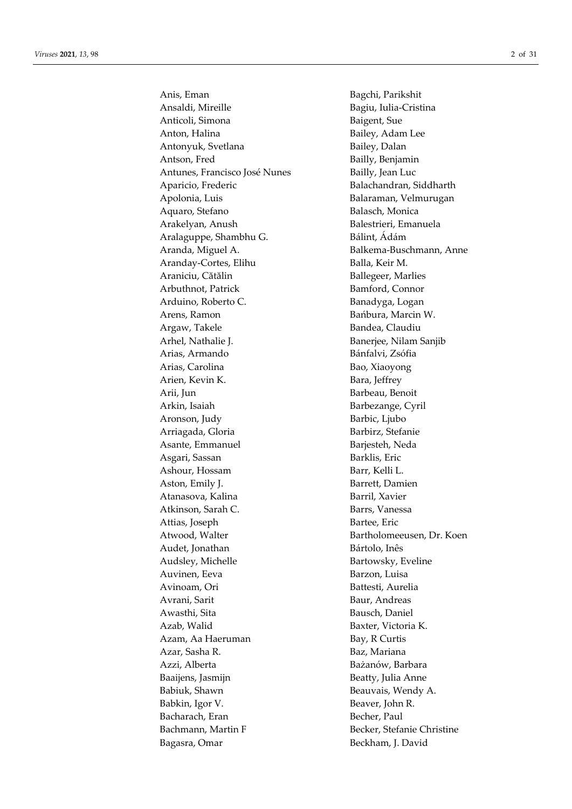Anis, Eman Bagchi, Parikshit Ansaldi, Mireille **Bagiu**, Iulia-Cristina Anticoli, Simona Baigent, Sue Anton, Halina Bailey, Adam Lee Antonyuk, Svetlana Bailey, Dalan Antson, Fred Bailly, Benjamin Antunes, Francisco José Nunes Bailly, Jean Luc Aparicio, Frederic Balachandran, Siddharth Apolonia, Luis Balaraman, Velmurugan Aquaro, Stefano **Balasch, Monica** Arakelyan, Anush Balestrieri, Emanuela Aralaguppe, Shambhu G. Bálint, Ádám Aranda, Miguel A. **Balkema-Buschmann**, Anne Aranday-Cortes, Elihu Balla, Keir M. Araniciu, Cătălin Ballegeer, Marlies Arbuthnot, Patrick Bamford, Connor Arduino, Roberto C. Banadyga, Logan Arens, Ramon Bańbura, Marcin W. Argaw, Takele Bandea, Claudiu Arhel, Nathalie J. Banerjee, Nilam Sanjib Arias, Armando Bánfalvi, Zsófia Arias, Carolina Bao, Xiaoyong Arien, Kevin K. Bara, Jeffrey Arii, Jun Barbeau, Benoit Arkin, Isaiah Barbezange, Cyril Aronson, Judy Barbic, Ljubo Arriagada, Gloria **Barbirz**, Stefanie Asante, Emmanuel Barjesteh, Neda Asgari, Sassan Barklis, Eric Ashour, Hossam Barr, Kelli L. Aston, Emily J. Barrett, Damien Atanasova, Kalina **Barril**, Xavier Atkinson, Sarah C. Barrs, Vanessa Attias, Joseph Bartee, Eric Atwood, Walter **Bartholomeeusen**, Dr. Koen Audet, Jonathan **Bártolo**, Inês Audsley, Michelle Bartowsky, Eveline Auvinen, Eeva Barzon, Luisa Avinoam, Ori Battesti, Aurelia Avrani, Sarit Baur, Andreas Awasthi, Sita Bausch, Daniel Azab, Walid Baxter, Victoria K. Azam, Aa Haeruman Bay, R Curtis Azar, Sasha R. Baz, Mariana Azzi, Alberta Bażanów, Barbara Baaijens, Jasmijn Beatty, Julia Anne Babiuk, Shawn Beauvais, Wendy A. Babkin, Igor V. Beaver, John R. Bacharach, Eran Becher, Paul Bachmann, Martin F Becker, Stefanie Christine Bagasra, Omar Beckham, J. David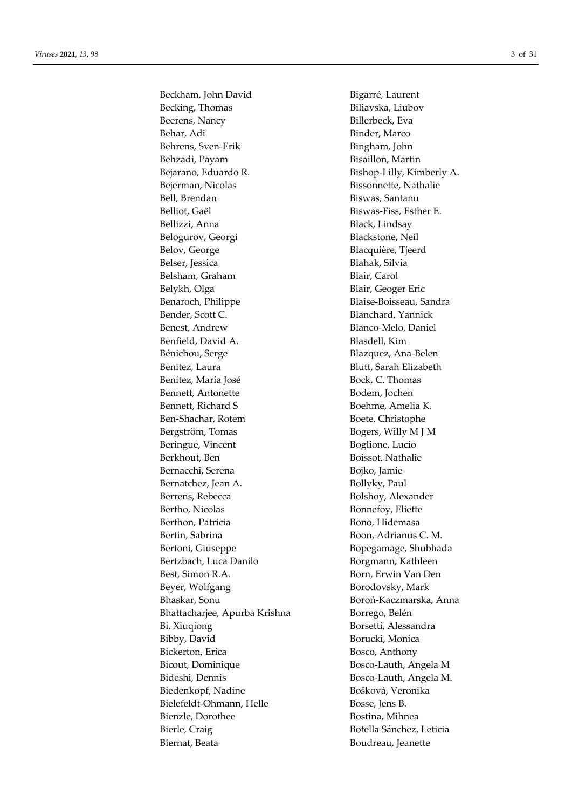Beckham, John David Bigarré, Laurent Becking, Thomas Biliavska, Liubov Beerens, Nancy **Billerbeck**, Eva Behar, Adi Binder, Marco Behrens, Sven-Erik Bingham, John Behzadi, Payam Bisaillon, Martin Bejarano, Eduardo R. Bishop-Lilly, Kimberly A. Bejerman, Nicolas Bissonnette, Nathalie Bell, Brendan Biswas, Santanu Belliot, Gaël Biswas-Fiss, Esther E. Bellizzi, Anna Black, Lindsay Belogurov, Georgi Blackstone, Neil Belov, George Blacquière, Tjeerd Belser, Jessica Blahak, Silvia Belsham, Graham Blair, Carol Belykh, Olga Blair, Geoger Eric Benaroch, Philippe Blaise-Boisseau, Sandra Bender, Scott C. **Blanchard**, Yannick Benest, Andrew Blanco-Melo, Daniel Benfield, David A. Blasdell, Kim Bénichou, Serge Blazquez, Ana-Belen Benitez, Laura Blutt, Sarah Elizabeth Benítez, María José Bock, C. Thomas Bennett, Antonette Bodem, Jochen Bennett, Richard S<br>Boehme, Amelia K. Ben-Shachar, Rotem Boete, Christophe Bergström, Tomas Bogers, Willy M J M Beringue, Vincent Boglione, Lucio Berkhout, Ben Boissot, Nathalie Bernacchi, Serena Bojko, Jamie Bernatchez, Jean A. Bollyky, Paul Berrens, Rebecca and Bolshoy, Alexander Bertho, Nicolas Bonnefoy, Eliette Berthon, Patricia Bono, Hidemasa Bertin, Sabrina Boon, Adrianus C. M. Bertoni, Giuseppe Bopegamage, Shubhada Bertzbach, Luca Danilo **Borgmann**, Kathleen Best, Simon R.A. Born, Erwin Van Den Beyer, Wolfgang Borodovsky, Mark Bhaskar, Sonu Boroń-Kaczmarska, Anna Bhattacharjee, Apurba Krishna Borrego, Belén Bi, Xiuqiong Borsetti, Alessandra Bibby, David Borucki, Monica Bickerton, Erica Bosco, Anthony Bicout, Dominique Bosco-Lauth, Angela M Bideshi, Dennis Bosco-Lauth, Angela M. Biedenkopf, Nadine Bošková, Veronika Bielefeldt-Ohmann, Helle Bosse, Jens B. Bienzle, Dorothee Bostina, Mihnea Bierle, Craig Botella Sánchez, Leticia Biernat, Beata Boudreau, Jeanette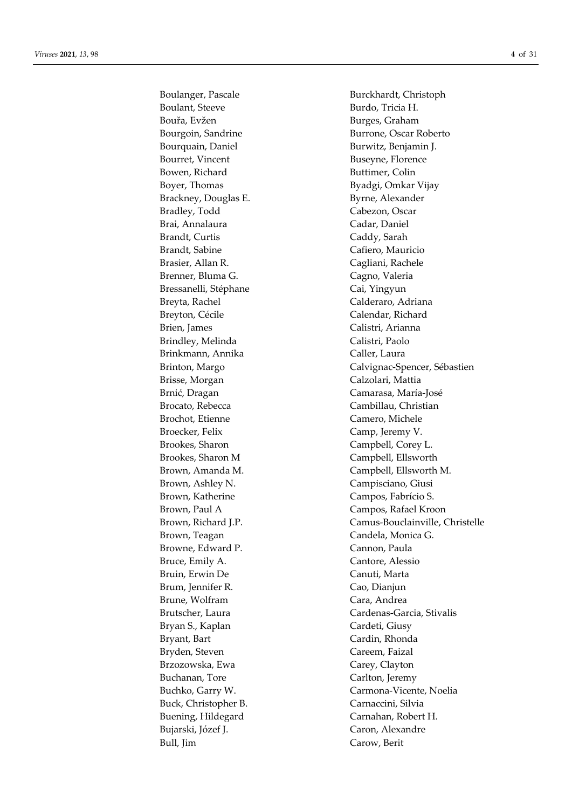Boulanger, Pascale Burckhardt, Christoph Boulant, Steeve Burdo, Tricia H. Bouřa, Evžen Burges, Graham Bourquain, Daniel Burwitz, Benjamin J. Bourret, Vincent Bourret, Physics Buseyne, Florence Bowen, Richard Buttimer, Colin Boyer, Thomas Byadgi, Omkar Vijay Brackney, Douglas E. Byrne, Alexander Bradley, Todd Cabezon, Oscar Brai, Annalaura **Cadar**, Daniel Brandt, Curtis Caddy, Sarah Brandt, Sabine Cafiero, Mauricio Brasier, Allan R. Cagliani, Rachele Brenner, Bluma G. Cagno, Valeria Bressanelli, Stéphane Cai, Yingyun Breyta, Rachel Calderaro, Adriana Breyton, Cécile **Calendar**, Richard Brien, James Calistri, Arianna Brindley, Melinda Calistri, Paolo Brinkmann, Annika Caller, Laura Brisse, Morgan **Calzolari**, Mattia Brnić, Dragan Camarasa, María-José Brocato, Rebecca Cambillau, Christian Brochot, Etienne Camero, Michele Broecker, Felix Camp, Jeremy V. Brookes, Sharon Campbell, Corey L. Brookes, Sharon M Campbell, Ellsworth Brown, Ashley N. Campisciano, Giusi Brown, Katherine Campos, Fabrício S. Brown, Teagan Candela, Monica G. Browne, Edward P. Cannon, Paula Bruce, Emily A. Cantore, Alessio Bruin, Erwin De Canuti, Marta Brum, Jennifer R. Cao, Dianjun Brune, Wolfram Cara, Andrea Bryan S., Kaplan Cardeti, Giusy Bryant, Bart Cardin, Rhonda Bryden, Steven Careem, Faizal Brzozowska, Ewa Carey, Clayton Buchanan, Tore Carlton, Jeremy Buck, Christopher B. Carnaccini, Silvia Buening, Hildegard Carnahan, Robert H. Bujarski, Józef J. Caron, Alexandre Bull, Jim Carow, Berit

Bourgoin, Sandrine Burrone, Oscar Roberto Brinton, Margo Calvignac-Spencer, Sébastien Brown, Amanda M. Campbell, Ellsworth M. Brown, Paul A Campos, Rafael Kroon Brown, Richard J.P. Camus-Bouclainville, Christelle Brutscher, Laura Cardenas-Garcia, Stivalis Buchko, Garry W. Carmona-Vicente, Noelia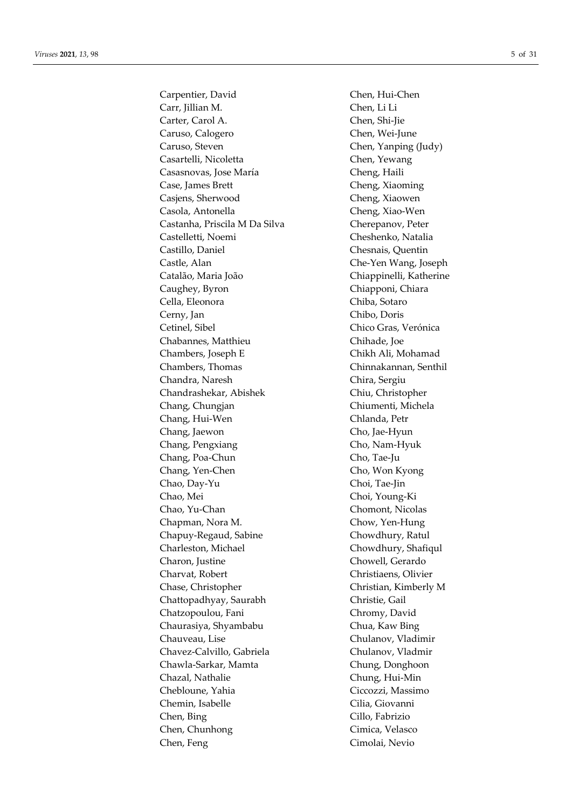Carpentier, David Chen, Hui-Chen Carr, Jillian M. Chen, Li Li Carter, Carol A. Chen, Shi-Jie Caruso, Calogero Chen, Wei-June Caruso, Steven Chen, Yanping (Judy) Casartelli, Nicoletta Chen, Yewang Casasnovas, Jose María Cheng, Haili Case, James Brett Cheng, Xiaoming Casjens, Sherwood Cheng, Xiaowen Casola, Antonella Cheng, Xiao-Wen Castanha, Priscila M Da Silva Cherepanov, Peter Castelletti, Noemi Cheshenko, Natalia Castillo, Daniel Chesnais, Quentin Castle, Alan Che-Yen Wang, Joseph Catalão, Maria João Chiappinelli, Katherine Caughey, Byron Chiapponi, Chiara Cella, Eleonora Chiba, Sotaro Cerny, Jan Chibo, Doris Cetinel, Sibel Chico Gras, Verónica Chabannes, Matthieu Chihade, Joe Chambers, Joseph E Chikh Ali, Mohamad Chambers, Thomas Chinnakannan, Senthil Chandra, Naresh Chira, Sergiu Chandrashekar, Abishek Chiu, Christopher Chang, Chungjan Chiumenti, Michela Chang, Hui-Wen Chlanda, Petr Chang, Jaewon Cho, Jae-Hyun Chang, Pengxiang Cho, Nam-Hyuk Chang, Poa-Chun Cho, Tae-Ju Chang, Yen-Chen Cho, Won Kyong Chao, Day-Yu Choi, Tae-Jin Chao, Mei Choi, Young-Ki Chao, Yu-Chan Chomont, Nicolas Chapman, Nora M. Chow, Yen-Hung Chapuy-Regaud, Sabine Chowdhury, Ratul Charleston, Michael Chowdhury, Shafiqul Charon, Justine Chowell, Gerardo Charvat, Robert Christiaens, Olivier Chase, Christopher Christian, Kimberly M Chattopadhyay, Saurabh Christie, Gail Chatzopoulou, Fani Chromy, David Chaurasiya, Shyambabu Chua, Kaw Bing Chauveau, Lise Chulanov, Vladimir Chavez-Calvillo, Gabriela Chulanov, Vladmir Chawla-Sarkar, Mamta Chung, Donghoon Chazal, Nathalie Chung, Hui-Min Chebloune, Yahia Ciccozzi, Massimo Chemin, Isabelle Cilia, Giovanni Chen, Bing Cillo, Fabrizio Chen, Chunhong Cimica, Velasco Chen, Feng Cimolai, Nevio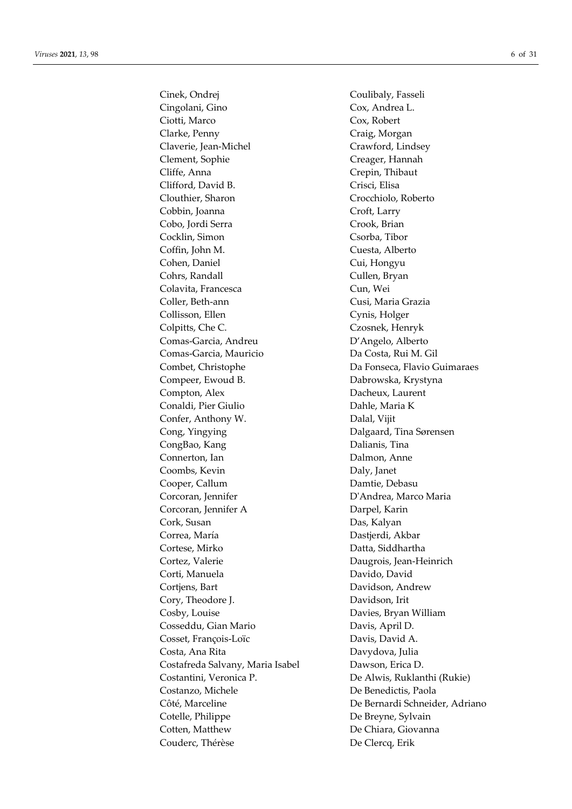Cinek, Ondrej Coulibaly, Fasseli Cingolani, Gino Cox, Andrea L. Ciotti, Marco Cox, Robert Clarke, Penny Craig, Morgan Claverie, Jean-Michel Crawford, Lindsey Clement, Sophie Creager, Hannah Cliffe, Anna Crepin, Thibaut Clifford, David B. Crisci, Elisa Clouthier, Sharon Crocchiolo, Roberto Cobbin, Joanna Croft, Larry Cobo, Jordi Serra Crook, Brian Cocklin, Simon Csorba, Tibor Coffin, John M. Cuesta, Alberto Cohen, Daniel Cui, Hongyu Cohrs, Randall Cullen, Bryan Colavita, Francesca Cun, Wei Coller, Beth-ann Cusi, Maria Grazia Collisson, Ellen Cynis, Holger Colpitts, Che C. Czosnek, Henryk Comas-Garcia, Andreu D'Angelo, Alberto Comas-Garcia, Mauricio Da Costa, Rui M. Gil Combet, Christophe Da Fonseca, Flavio Guimaraes Compeer, Ewoud B. Dabrowska, Krystyna Compton, Alex Dacheux, Laurent Conaldi, Pier Giulio Dahle, Maria K Confer, Anthony W. Dalal, Vijit Cong, Yingying Dalgaard, Tina Sørensen CongBao, Kang **Dalianis**, Tina Connerton, Ian Dalmon, Anne Coombs, Kevin Daly, Janet Cooper, Callum Damtie, Debasu Corcoran, Jennifer **D'Andrea**, Marco Maria Corcoran, Jennifer A Darpel, Karin Cork, Susan Das, Kalyan Correa, María **Dastierdi**, Akbar Cortese, Mirko Datta, Siddhartha Cortez, Valerie **Daugrois**, Jean-Heinrich Corti, Manuela **Davido, Davido, Davido** Cortjens, Bart Davidson, Andrew Cory, Theodore J. Davidson, Irit Cosby, Louise Davies, Bryan William Cosseddu, Gian Mario Davis, April D. Cosset, François-Loïc Davis, David A. Costa, Ana Rita Davydova, Julia Costafreda Salvany, Maria Isabel Dawson, Erica D. Costantini, Veronica P. De Alwis, Ruklanthi (Rukie) Costanzo, Michele De Benedictis, Paola Cotelle, Philippe De Breyne, Sylvain Cotten, Matthew De Chiara, Giovanna Couderc, Thérèse De Clercq, Erik

Côté, Marceline De Bernardi Schneider, Adriano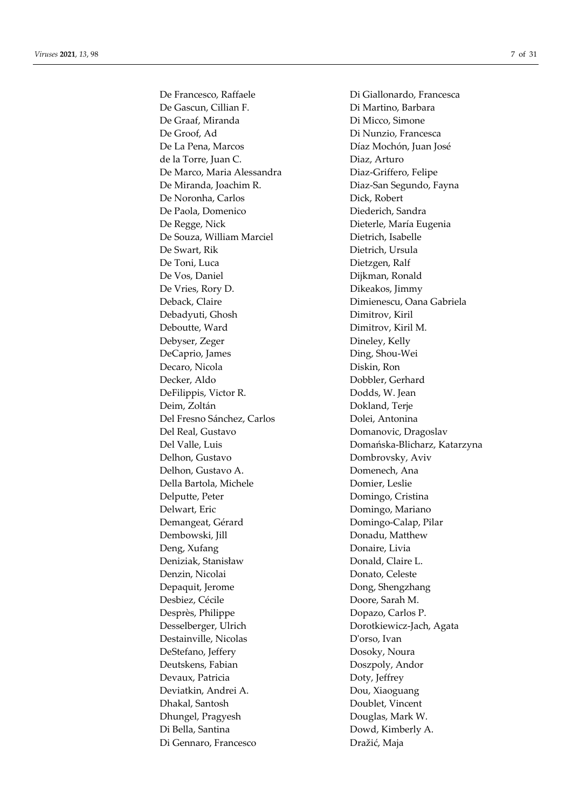De Gascun, Cillian F. Di Martino, Barbara De Graaf, Miranda Di Micco, Simone De Groof, Ad Di Nunzio, Francesca De La Pena, Marcos Díaz Mochón, Juan José de la Torre, Juan C. Diaz, Arturo De Marco, Maria Alessandra Diaz-Griffero, Felipe De Miranda, Joachim R. Diaz-San Segundo, Fayna De Noronha, Carlos Dick, Robert De Paola, Domenico Diederich, Sandra De Regge, Nick Dieterle, María Eugenia De Souza, William Marciel Dietrich, Isabelle De Swart, Rik Dietrich, Ursula De Toni, Luca Dietzgen, Ralf De Vos, Daniel Dijkman, Ronald De Vries, Rory D. Dikeakos, Jimmy Deback, Claire Dimienescu, Oana Gabriela Debadyuti, Ghosh Dimitrov, Kiril Deboutte, Ward Dimitrov, Kiril M. Debyser, Zeger Dineley, Kelly DeCaprio, James Ding, Shou-Wei Decaro, Nicola Diskin, Ron Decker, Aldo Dobbler, Gerhard DeFilippis, Victor R. Dodds, W. Jean Deim, Zoltán **Dokland**, Terje Del Fresno Sánchez, Carlos Dolei, Antonina Del Real, Gustavo Domanovic, Dragoslav Delhon, Gustavo Dombrovsky, Aviv Delhon, Gustavo A. Domenech, Ana Della Bartola, Michele Domier, Leslie Delputte, Peter **Domingo**, Cristina Delwart, Eric **Domingo**, Mariano Demangeat, Gérard Domingo-Calap, Pilar Dembowski, Jill Donadu, Matthew Deng, Xufang Donaire, Livia Deniziak, Stanisław Donald, Claire L. Denzin, Nicolai Donato, Celeste Depaquit, Jerome Dong, Shengzhang Desbiez, Cécile Doore, Sarah M. Desprès, Philippe Dopazo, Carlos P. Desselberger, Ulrich Dorotkiewicz-Jach, Agata Destainville, Nicolas D'orso, Ivan DeStefano, Jeffery Dosoky, Noura Deutskens, Fabian Doszpoly, Andor Devaux, Patricia Doty, Jeffrey Deviatkin, Andrei A. Dou, Xiaoguang Dhakal, Santosh Doublet, Vincent Dhungel, Pragyesh Douglas, Mark W. Di Bella, Santina Dowd, Kimberly A. Di Gennaro, Francesco Dražić, Maja

De Francesco, Raffaele Di Giallonardo, Francesca Del Valle, Luis Domańska-Blicharz, Katarzyna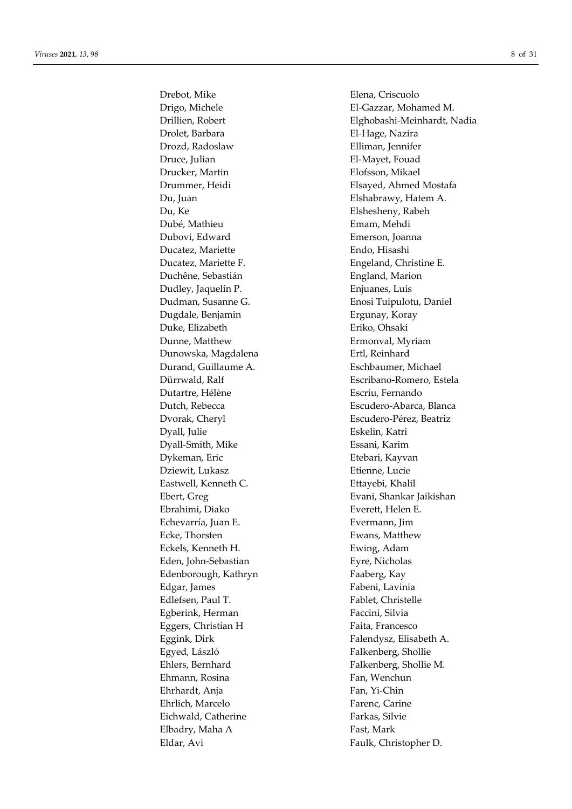Drebot, Mike Elena, Criscuolo Drolet, Barbara El-Hage, Nazira Drozd, Radoslaw Elliman, Jennifer Druce, Julian El-Mayet, Fouad Drucker, Martin Elofsson, Mikael Du, Juan Elshabrawy, Hatem A. Du, Ke Elshesheny, Rabeh Dubé, Mathieu Emam, Mehdi Dubovi, Edward Emerson, Joanna Ducatez, Mariette Endo, Hisashi Ducatez, Mariette F. **Engeland**, Christine E. Duchêne, Sebastián England, Marion Dudley, Jaquelin P. Enjuanes, Luis Dugdale, Benjamin Ergunay, Koray Duke, Elizabeth Eriko, Ohsaki Dunne, Matthew Ermonval, Myriam Dunowska, Magdalena **Ertl**, Reinhard Durand, Guillaume A. Eschbaumer, Michael Dutartre, Hélène **Escriu, Fernando** Dvorak, Cheryl Escudero-Pérez, Beatriz Dyall, Julie Eskelin, Katri Dyall-Smith, Mike Essani, Karim Dykeman, Eric Etebari, Kayvan Dziewit, Lukasz Etienne, Lucie Eastwell, Kenneth C. **Ettayebi**, Khalil Ebrahimi, Diako **Everett**, Helen E. Echevarría, Juan E. Evermann, Jim Ecke, Thorsten **Example 1** Ewans, Matthew Eckels, Kenneth H. Ewing, Adam Eden, John-Sebastian Eyre, Nicholas Edenborough, Kathryn Faaberg, Kay Edgar, James Fabeni, Lavinia Edlefsen, Paul T. **Fablet**, Christelle Egberink, Herman Faccini, Silvia Eggers, Christian H Faita, Francesco Eggink, Dirk Falendysz, Elisabeth A. Egyed, László Falkenberg, Shollie Ehlers, Bernhard Falkenberg, Shollie M. Ehmann, Rosina Fan, Wenchun Ehrhardt, Anja Fan, Yi-Chin Ehrlich, Marcelo Farenc, Carine Eichwald, Catherine Farkas, Silvie Elbadry, Maha A Fast, Mark Eldar, Avi Faulk, Christopher D.

Drigo, Michele El-Gazzar, Mohamed M. Drillien, Robert Elghobashi-Meinhardt, Nadia Drummer, Heidi Elsayed, Ahmed Mostafa Dudman, Susanne G. Enosi Tuipulotu, Daniel Dürrwald, Ralf Escribano-Romero, Estela Dutch, Rebecca Escudero-Abarca, Blanca Ebert, Greg Evani, Shankar Jaikishan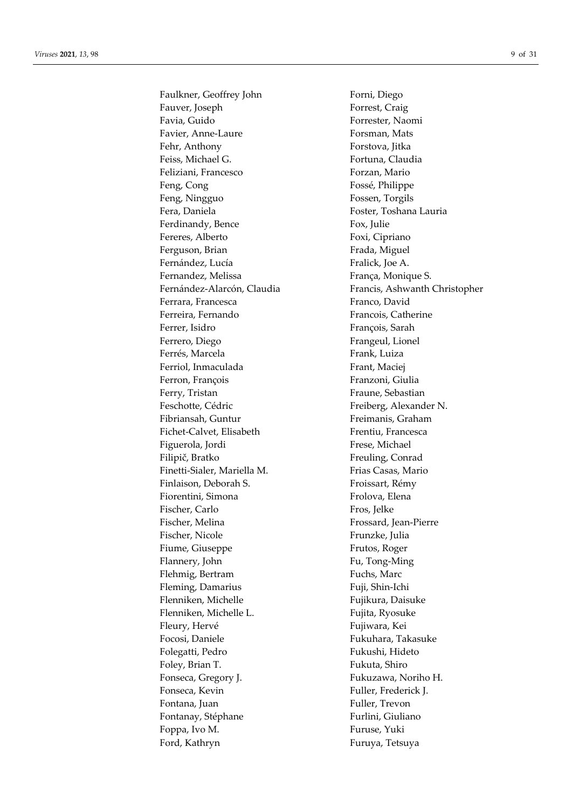Faulkner, Geoffrey John Forni, Diego Fauver, Joseph Forrest, Craig Favia, Guido Forrester, Naomi Favier, Anne-Laure Forsman, Mats Fehr, Anthony Forstova, Jitka Feiss, Michael G. **Fortuna**, Claudia Feliziani, Francesco **Forzan**, Mario Feng, Cong Fossé, Philippe Feng, Ningguo Fossen, Torgils Fera, Daniela Foster, Toshana Lauria Ferdinandy, Bence Fox, Julie Fereres, Alberto Foxi, Cipriano Ferguson, Brian Frada, Miguel Fernández, Lucía Fralick, Joe A. Fernandez, Melissa França, Monique S. Ferrara, Francesca **Franco**, David Ferreira, Fernando Francois, Catherine Ferrer, Isidro **François**, Sarah Ferrero, Diego Ferrero, Diego Frangeul, Lionel Ferrés, Marcela **Frank**, Luiza Ferriol, Inmaculada Frant, Maciej Ferron, François Franzoni, Giulia Ferry, Tristan Ferry, Tristan Fraune, Sebastian Feschotte, Cédric Freiberg, Alexander N. Fibriansah, Guntur Freimanis, Graham Fichet-Calvet, Elisabeth Frentiu, Francesca Figuerola, Jordi Frese, Michael Filipič, Bratko Freuling, Conrad Finetti-Sialer, Mariella M. Frias Casas, Mario Finlaison, Deborah S. Froissart, Rémy Fiorentini, Simona Frolova, Elena Fischer, Carlo Fros, Jelke Fischer, Melina Frossard, Jean-Pierre Fischer, Nicole Frunzke, Julia Fiume, Giuseppe Frutos, Roger Flannery, John Fu, Tong-Ming Flehmig, Bertram Fuchs, Marc Fleming, Damarius Fuji, Shin-Ichi Flenniken, Michelle Fujikura, Daisuke Flenniken, Michelle L. Fujita, Ryosuke Fleury, Hervé Fujiwara, Kei Focosi, Daniele Fukuhara, Takasuke Folegatti, Pedro Fukushi, Hideto Foley, Brian T. The Solet of Tukuta, Shiro Fonseca, Gregory J. Fukuzawa, Noriho H. Fonseca, Kevin Fuller, Frederick J. Fontana, Juan Fuller, Trevon Fontanay, Stéphane Furlini, Giuliano Foppa, Ivo M. Furuse, Yuki Ford, Kathryn Furuya, Tetsuya

Fernández-Alarcón, Claudia Francis, Ashwanth Christopher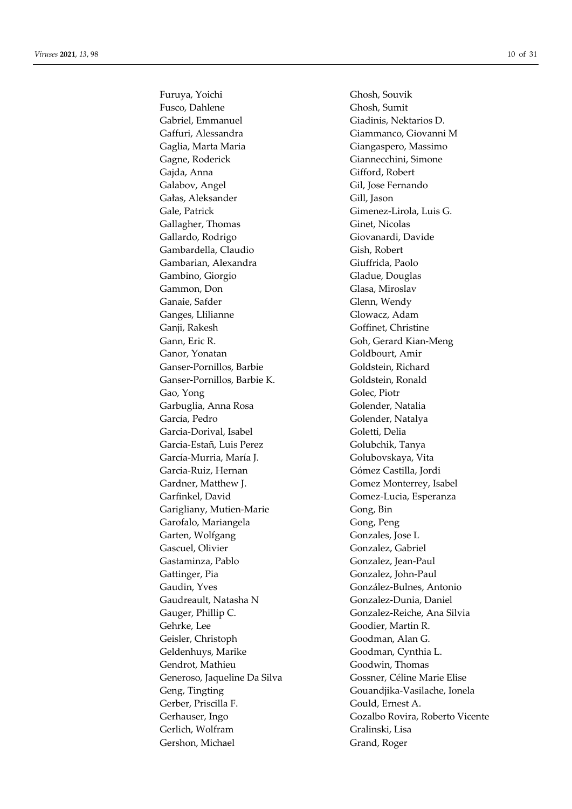Furuya, Yoichi Ghosh, Souvik Fusco, Dahlene Ghosh, Sumit Gabriel, Emmanuel Giadinis, Nektarios D. Gaffuri, Alessandra Giammanco, Giovanni M Gaglia, Marta Maria **Grandes Constructs** Giangaspero, Massimo Gagne, Roderick Giannecchini, Simone Gajda, Anna Gifford, Robert Galabov, Angel Gil, Jose Fernando Gałas, Aleksander Gill, Jason Gale, Patrick Gimenez-Lirola, Luis G. Gallagher, Thomas Ginet, Nicolas Gallardo, Rodrigo Giovanardi, Davide Gambardella, Claudio Gish, Robert Gambarian, Alexandra Giuffrida, Paolo Gambino, Giorgio Gladue, Douglas Gammon, Don Glasa, Miroslav Ganaie, Safder Glenn, Wendy Ganges, Llilianne Glowacz, Adam Ganji, Rakesh Goffinet, Christine Gann, Eric R. Gann, Eric R. Gann, Eric R. Gann, Eric R. Gann, Eric R. Gann, Eric R. Gann, Eric R. Gann, Eric R Ganor, Yonatan Goldbourt, Amir Ganser-Pornillos, Barbie Goldstein, Richard Ganser-Pornillos, Barbie K. Goldstein, Ronald Gao, Yong Golec, Piotr Garbuglia, Anna Rosa Golender, Natalia García, Pedro Golender, Natalya Garcia-Dorival, Isabel Goletti, Delia Garcia-Estañ, Luis Perez Golubchik, Tanya García-Murria, María J. Golubovskaya, Vita Garcia-Ruiz, Hernan Gómez Castilla, Jordi Gardner, Matthew J. Gomez Monterrey, Isabel Garfinkel, David Gomez-Lucia, Esperanza Garigliany, Mutien-Marie Gong, Bin Garofalo, Mariangela Gong, Peng Garten, Wolfgang Gonzales, Jose L Gascuel, Olivier Gonzalez, Gabriel Gastaminza, Pablo Gonzalez, Jean-Paul Gattinger, Pia Gonzalez, John-Paul Gaudin, Yves González-Bulnes, Antonio Gaudreault, Natasha N Gonzalez-Dunia, Daniel Gauger, Phillip C. Gonzalez-Reiche, Ana Silvia Gehrke, Lee Goodier, Martin R. Geisler, Christoph Goodman, Alan G. Geldenhuys, Marike Goodman, Cynthia L. Gendrot, Mathieu Goodwin, Thomas Generoso, Jaqueline Da Silva Gossner, Céline Marie Elise Gerber, Priscilla F. Gould, Ernest A. Gerlich, Wolfram Gralinski, Lisa Gershon, Michael Grand, Roger

Geng, Tingting Gouandjika-Vasilache, Ionela Gerhauser, Ingo Gozalbo Rovira, Roberto Vicente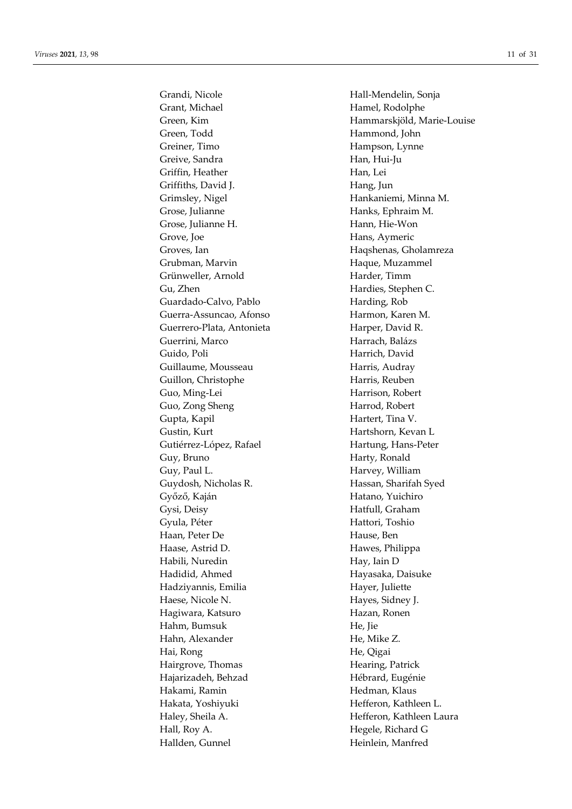Grandi, Nicole Hall-Mendelin, Sonja Grant, Michael **Hamel**, Rodolphe Green, Todd Hammond, John Greiner, Timo Hampson, Lynne Greive, Sandra Han, Hui-Ju Griffin, Heather Han, Lei Griffiths, David J. Hang, Jun Grimsley, Nigel **Hankaniemi**, Minna M. Grose, Julianne Hanks, Ephraim M. Grose, Julianne H. Hann, Hie-Won Grove, Joe Hans, Aymeric Groves, Ian **Hagshenas**, Gholamreza Grubman, Marvin **Haque**, Muzammel Grünweller, Arnold Harder, Timm Gu, Zhen Hardies, Stephen C. Guardado-Calvo, Pablo Harding, Rob Guerra-Assuncao, Afonso Harmon, Karen M. Guerrero-Plata, Antonieta Harper, David R. Guerrini, Marco **Harrach, Balázs** Guido, Poli **Harrich, David** Guillaume, Mousseau Harris, Audray Guillon, Christophe Harris, Reuben Guo, Ming-Lei Harrison, Robert Guo, Zong Sheng **Harrod**, Robert Gupta, Kapil **Hartert**, Tina V. Gustin, Kurt Hartshorn, Kevan L Gutiérrez-López, Rafael Hartung, Hans-Peter Guy, Bruno Harty, Ronald Guy, Paul L. **Harvey**, William Guydosh, Nicholas R. **Hassan**, Sharifah Syed Győző, Kaján **Hatano**, Yuichiro Gysi, Deisy Hatfull, Graham Gyula, Péter Hattori, Toshio Haan, Peter De Hause, Ben Haase, Astrid D. **Hawes**, Philippa Habili, Nuredin Hay, Iain D Hadidid, Ahmed Hayasaka, Daisuke Hadziyannis, Emilia Hayer, Juliette Haese, Nicole N. **Hayes**, Sidney J. Hagiwara, Katsuro **Hazan, Ronen** Hahm, Bumsuk **He**, Jie Hahn, Alexander He, Mike Z. Hai, Rong He, Qigai Hairgrove, Thomas Hearing, Patrick Hajarizadeh, Behzad Hébrard, Eugénie Hakami, Ramin **Hedman, Klaus** Hakata, Yoshiyuki **Hefferon**, Kathleen L. Haley, Sheila A. **Hefferon**, Kathleen Laura Hall, Roy A. Hegele, Richard G Hallden, Gunnel Heinlein, Manfred

Green, Kim Hammarskjöld, Marie-Louise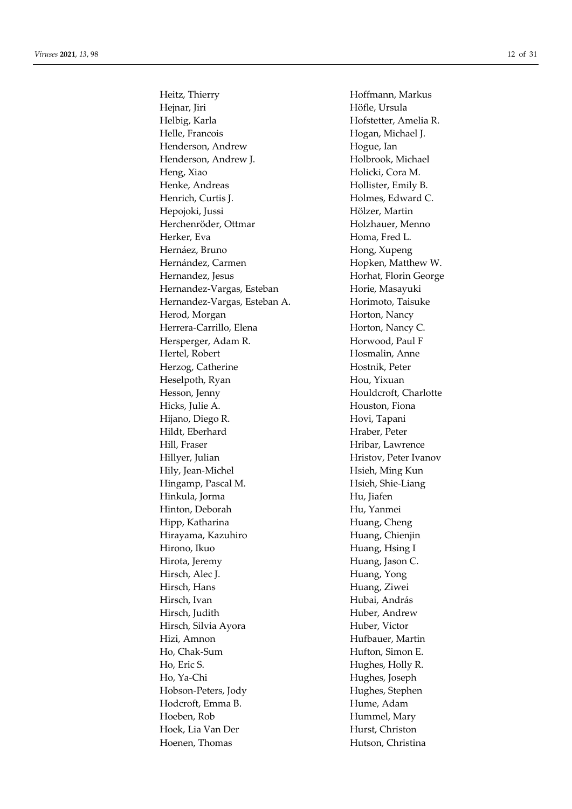Heitz, Thierry **Hoffmann**, Markus Hejnar, Jiri Höfle, Ursula Helbig, Karla **Hofstetter**, Amelia R. Helle, Francois Hogan, Michael J. Henderson, Andrew Hogue, Ian Henderson, Andrew J. Holbrook, Michael Heng, Xiao **Holicki**, Cora M. Henke, Andreas Hollister, Emily B. Henrich, Curtis J. Holmes, Edward C. Hepojoki, Jussi Hölzer, Martin Herchenröder, Ottmar Holzhauer, Menno Herker, Eva<br>
Homa, Fred L. Hernáez, Bruno **Hong, Xupeng** Hernández, Carmen Hopken, Matthew W. Hernandez, Jesus **Horhat**, Florin George Hernandez-Vargas, Esteban Horie, Masayuki Hernandez-Vargas, Esteban A. 
Horimoto, Taisuke Herod, Morgan Horton, Nancy Herrera-Carrillo, Elena Horton, Nancy C. Hersperger, Adam R. Horwood, Paul F Hertel, Robert Hosmalin, Anne Herzog, Catherine Hostnik, Peter Heselpoth, Ryan Hou, Yixuan Hesson, Jenny Houldcroft, Charlotte Hicks, Julie A. **Houston**, Fiona Hijano, Diego R. **Hovi**, Tapani Hildt, Eberhard **Hraber**, Peter Hill, Fraser Hill, Fraser Hill, Fraser Hill, Fraser Hill, Fraser Hill, Fraser Hill, Fraser Hill, Fraser Hill, F Hillyer, Julian Hristov, Peter Ivanov Hily, Jean-Michel **Hily**, Jean-Michel **Hilly** Hingamp, Pascal M. Hsieh, Shie-Liang Hinkula, Jorma Hu, Jiafen Hinton, Deborah Hu, Yanmei Hipp, Katharina Huang, Cheng Hirayama, Kazuhiro **Huang**, Chienjin Hirono, Ikuo **Huang**, Hsing I Hirota, Jeremy **Huang**, Jason C. Hirsch, Alec J. Huang, Yong Hirsch, Hans Huang, Ziwei Hirsch, Ivan Hubai, András Hirsch, Judith Huber, Andrew Hirsch, Silvia Ayora 
Huber, Victor Hizi, Amnon Hufbauer, Martin Ho, Chak-Sum Hufton, Simon E. Ho, Eric S. Holly R. Ho, Ya-Chi Hughes, Joseph Hobson-Peters, Jody Hughes, Stephen Hodcroft, Emma B. Hume, Adam Hoeben, Rob Hummel, Mary Hoek, Lia Van Der **Hurst**, Christon Hoenen, Thomas Hutson, Christina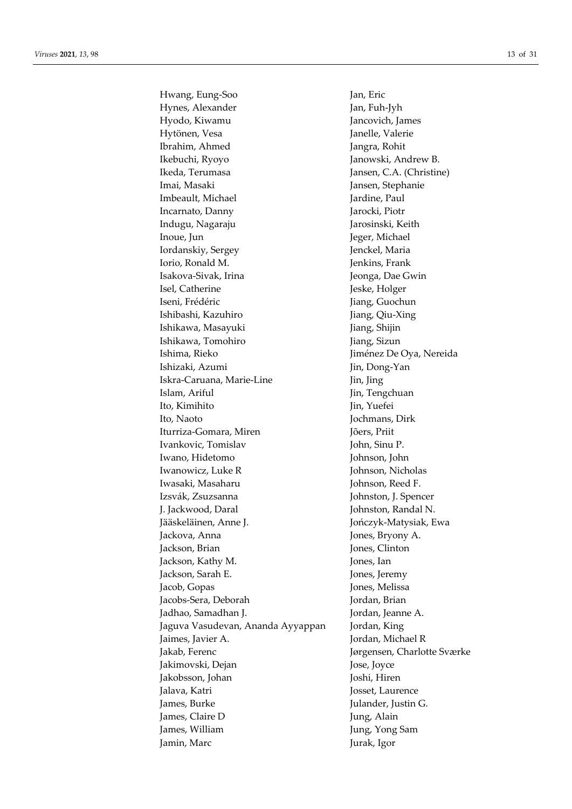Hwang, Eung-Soo Jan, Eric Hynes, Alexander Jan, Fuh-Jyh Hyodo, Kiwamu Jancovich, James Hytönen, Vesa Janelle, Valerie Ibrahim, Ahmed Jangra, Rohit Ikebuchi, Ryoyo Janowski, Andrew B. Ikeda, Terumasa Jansen, C.A. (Christine) Imai, Masaki Jansen, Stephanie Imbeault, Michael Jardine, Paul Incarnato, Danny Jarocki, Piotr Indugu, Nagaraju Jarosinski, Keith Inoue, Jun Jeger, Michael Iordanskiy, Sergey Jenckel, Maria Iorio, Ronald M. Jenkins, Frank Isakova-Sivak, Irina  $J$ eonga, Dae Gwin Isel, Catherine Jeske, Holger Iseni, Frédéric **Iseniae and Americane Iseniae de la Guardian Guochun** Ishibashi, Kazuhiro Jiang, Qiu-Xing Ishikawa, Masayuki Jiang, Shijin Ishikawa, Tomohiro **Jiang, Sizun** Ishima, Rieko Jiménez De Oya, Nereida Ishizaki, Azumi Jin, Dong-Yan Iskra-Caruana, Marie-Line Jin, Jing Islam, Ariful Jin, Tengchuan Ito, Kimihito Jin, Yuefei Ito, Naoto Jochmans, Dirk Iturriza-Gomara, Miren Jõers, Priit Ivankovic, Tomislav John, Sinu P. Iwano, Hidetomo Johnson, John Iwanowicz, Luke R Johnson, Nicholas Iwasaki, Masaharu Johnson, Reed F. Izsvák, Zsuzsanna Johnston, J. Spencer J. Jackwood, Daral Johnston, Randal N. Jääskeläinen, Anne J. Jończyk-Matysiak, Ewa Jackova, Anna  $Jones$ , Bryony A. Jackson, Brian Jones, Clinton Jackson, Kathy M. Jones, Ian Jackson, Sarah E. Jones, Jeremy Jacob, Gopas Jones, Melissa Jacobs-Sera, Deborah Jordan, Brian Jadhao, Samadhan J. Jordan, Jeanne A. Jaguva Vasudevan, Ananda Ayyappan Jordan, King Jaimes, Javier A. Jordan, Michael R Jakab, Ferenc Jørgensen, Charlotte Sværke Jakimovski, Dejan Jose, Joyce Jakobsson, Johan Joshi, Hiren Jalava, Katri **Josset, Laurence** James, Burke Julander, Justin G. James, Claire D Jung, Alain James, William Jung, Yong Sam Jamin, Marc Jurak, Igor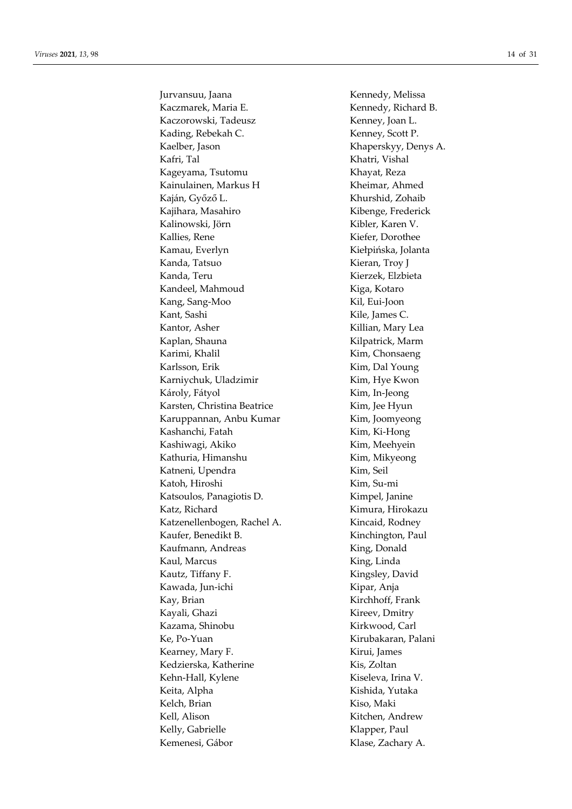Jurvansuu, Jaana Kennedy, Melissa Kaczmarek, Maria E. Kennedy, Richard B. Kaczorowski, Tadeusz Kenney, Joan L. Kading, Rebekah C. Kenney, Scott P. Kaelber, Jason Khaperskyy, Denys A. Kafri, Tal Khatri, Vishal Kageyama, Tsutomu Khayat, Reza Kainulainen, Markus H Kheimar, Ahmed Kaján, Győző L. Khurshid, Zohaib Kajihara, Masahiro Kibenge, Frederick Kalinowski, Jörn Kibler, Karen V. Kallies, Rene Kiefer, Dorothee Kamau, Everlyn Kiełpińska, Jolanta Kanda, Tatsuo **Kieran, Troy J** Kanda, Teru **Kierzek, Elzbieta** Kandeel, Mahmoud Kiga, Kotaro Kang, Sang-Moo Kil, Eui-Joon Kant, Sashi Kile, James C. Kantor, Asher Killian, Mary Lea Kaplan, Shauna **Kilpatrick**, Marm Karimi, Khalil Kim, Chonsaeng Karlsson, Erik Kim, Dal Young Karniychuk, Uladzimir Kim, Hye Kwon Károly, Fátyol Kim, In-Jeong Karsten, Christina Beatrice Kim, Jee Hyun Karuppannan, Anbu Kumar Kim, Joomyeong Kashanchi, Fatah Kim, Ki-Hong Kashiwagi, Akiko Kim, Meehyein Kathuria, Himanshu **Kim, Kim**, Mikyeong Katneni, Upendra **Kim**, Seil Katoh, Hiroshi Kim, Su-mi Katsoulos, Panagiotis D. Kimpel, Janine Katz, Richard Kimura, Hirokazu Katzenellenbogen, Rachel A. Kincaid, Rodney Kaufer, Benedikt B. Kinchington, Paul Kaufmann, Andreas King, Donald Kaul, Marcus **King, Linda** Kautz, Tiffany F. Kingsley, David Kawada, Jun-ichi Kipar, Anja Kay, Brian Kirchhoff, Frank Kayali, Ghazi Kireev, Dmitry Kazama, Shinobu **Kirkwood, Carl** Ke, Po-Yuan Kirubakaran, Palani Kearney, Mary F. Kirui, James Kedzierska, Katherine Kis, Zoltan Kehn-Hall, Kylene Kiseleva, Irina V. Keita, Alpha Kishida, Yutaka Kelch, Brian Kiso, Maki Kell, Alison Kitchen, Andrew Kelly, Gabrielle Klapper, Paul Kemenesi, Gábor Klase, Zachary A.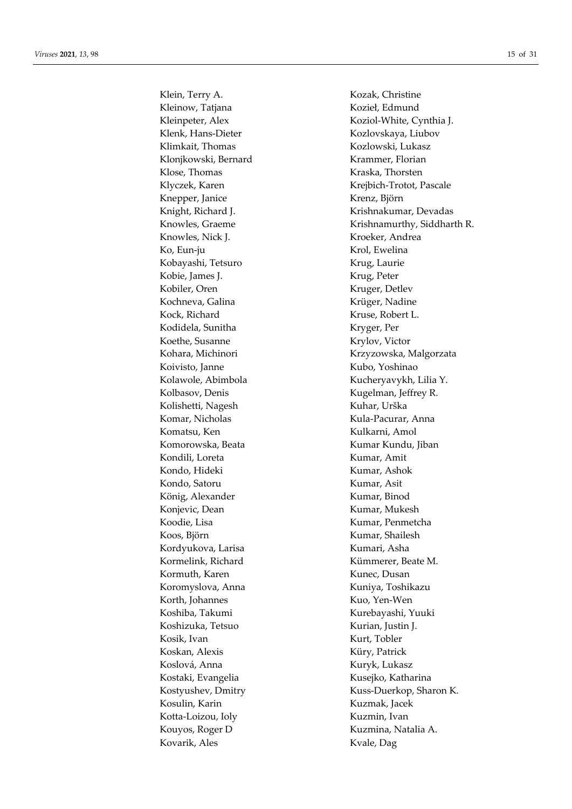Klein, Terry A. Kozak, Christine Kleinow, Tatjana Kozieł, Edmund Klenk, Hans-Dieter Kozlovskaya, Liubov Klimkait, Thomas Kozlowski, Lukasz Klonjkowski, Bernard Krammer, Florian Klose, Thomas Kraska, Thorsten Knepper, Janice Krenz, Björn Knowles, Nick J. Kroeker, Andrea Ko, Eun-ju Krol, Ewelina Kobayashi, Tetsuro Krug, Laurie Kobie, James J. Krug, Peter Kobiler, Oren Kruger, Detlev Kochneva, Galina Krüger, Nadine Kock, Richard Kruse, Robert L. Kodidela, Sunitha Kryger, Per Koethe, Susanne Krylov, Victor Koivisto, Janne Kubo, Yoshinao Kolbasov, Denis Kugelman, Jeffrey R. Kolishetti, Nagesh Kuhar, Urška Komar, Nicholas Kula-Pacurar, Anna Komatsu, Ken Kulkarni, Amol Komorowska, Beata Kumar Kundu, Jiban Kondili, Loreta Kumar, Amit Kondo, Hideki Kumar, Ashok Kondo, Satoru Kumar, Asit König, Alexander Kumar, Binod Konjevic, Dean Kumar, Mukesh Koodie, Lisa Kumar, Penmetcha Koos, Björn Kumar, Shailesh Kordyukova, Larisa Kumari, Asha Kormelink, Richard Kümmerer, Beate M. Kormuth, Karen Kunec, Dusan Koromyslova, Anna Kuniya, Toshikazu Korth, Johannes Kuo, Yen-Wen Koshiba, Takumi Kurebayashi, Yuuki Koshizuka, Tetsuo Kurian, Justin J. Kosik, Ivan Kurt, Tobler Koskan, Alexis Küry, Patrick Koslová, Anna Kuryk, Lukasz Kostaki, Evangelia Kusejko, Katharina Kosulin, Karin Kuzmak, Jacek Kotta-Loizou, Ioly **Kuzmin**, Ivan Kouyos, Roger D Kuzmina, Natalia A. Kovarik, Ales Kvale, Dag

Kleinpeter, Alex Koziol-White, Cynthia J. Klyczek, Karen Krejbich-Trotot, Pascale Knight, Richard J. Krishnakumar, Devadas Knowles, Graeme Krishnamurthy, Siddharth R. Kohara, Michinori Krzyzowska, Malgorzata Kolawole, Abimbola Kucheryavykh, Lilia Y. Kostyushev, Dmitry Kuss-Duerkop, Sharon K.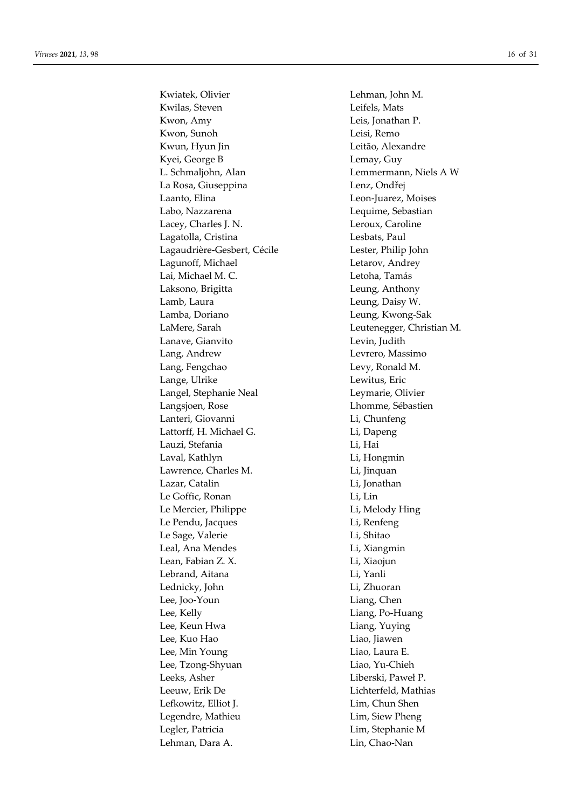Kwiatek, Olivier **Lehman**, John M. Kwilas, Steven Leifels, Mats Kwon, Amy Leis, Jonathan P. Kwon, Sunoh Leisi, Remo Kwun, Hyun Jin **Leitão**, Alexandre Kyei, George B Lemay, Guy L. Schmaljohn, Alan Lemmermann, Niels A W La Rosa, Giuseppina Lenz, Ondřej Laanto, Elina Leon-Juarez, Moises Labo, Nazzarena Lequime, Sebastian Lacey, Charles J. N. Leroux, Caroline Lagatolla, Cristina Lesbats, Paul Lagaudrière-Gesbert, Cécile Lester, Philip John Lagunoff, Michael **Letarov**, Andrey Lai, Michael M. C. **Letoha, Tamás** Laksono, Brigitta Leung, Anthony Lamb, Laura **Leung**, Daisy W. Lamba, Doriano Leung, Kwong-Sak LaMere, Sarah Leutenegger, Christian M. Lanave, Gianvito **Levin**, Judith Lang, Andrew Levrero, Massimo Lang, Fengchao Levy, Ronald M. Lange, Ulrike Lewitus, Eric Langel, Stephanie Neal Leymarie, Olivier Langsjoen, Rose Lhomme, Sébastien Lanteri, Giovanni Li, Chunfeng Lattorff, H. Michael G. Li, Dapeng Lauzi, Stefania Li, Hai Laval, Kathlyn Li, Hongmin Lawrence, Charles M. Li, Jinquan Lazar, Catalin Li, Jonathan Le Goffic, Ronan Li, Lin Le Mercier, Philippe Li, Melody Hing Le Pendu, Jacques Li, Renfeng Le Sage, Valerie Li, Shitao Leal, Ana Mendes **Lightnian Lightnian** Li, Xiangmin Lean, Fabian Z. X. Li, Xiaojun Lebrand, Aitana Li, Yanli Lednicky, John Li, Zhuoran Lee, Joo-Youn Liang, Chen Lee, Kelly **Liang**, Po-Huang Lee, Keun Hwa Liang, Yuying Lee, Kuo Hao Liao, Jiawen Lee, Min Young Liao, Laura E. Lee, Tzong-Shyuan Liao, Yu-Chieh Leeks, Asher **Liberski**, Paweł P. Leeuw, Erik De Lichterfeld, Mathias Lefkowitz, Elliot J. Lim, Chun Shen Legendre, Mathieu Lim, Siew Pheng Legler, Patricia Lim, Stephanie M Lehman, Dara A. Lin, Chao-Nan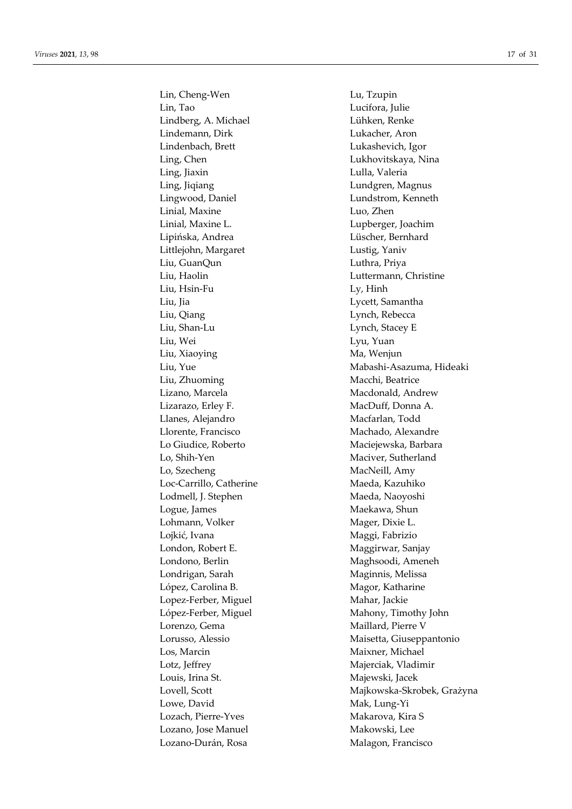Lin, Cheng-Wen Lu, Tzupin Lin, Tao Lucifora, Julie Lindberg, A. Michael Lühken, Renke Lindemann, Dirk Lukacher, Aron Lindenbach, Brett Lukashevich, Igor Ling, Chen Lukhovitskaya, Nina Ling, Jiaxin Lulla, Valeria Ling, Jiqiang Lundgren, Magnus Lingwood, Daniel Lundstrom, Kenneth Linial, Maxine Luo, Zhen Linial, Maxine L. Lupberger, Joachim Lipińska, Andrea Lüscher, Bernhard Littlejohn, Margaret Lustig, Yaniv Liu, GuanQun Luthra, Priya Liu, Haolin Luttermann, Christine Liu, Hsin-Fu Ly, Hinh Liu, Jia Lycett, Samantha Liu, Qiang Lynch, Rebecca Liu, Shan-Lu Lynch, Stacey E Liu, Wei Lyu, Yuan Liu, Xiaoying Ma, Wenjun Liu, Zhuoming Macchi, Beatrice Lizano, Marcela **Macdonald**, Andrew Lizarazo, Erley F. MacDuff, Donna A. Llanes, Alejandro Macfarlan, Todd Llorente, Francisco Machado, Alexandre Lo Giudice, Roberto Maciejewska, Barbara Lo, Shih-Yen Maciver, Sutherland Lo, Szecheng MacNeill, Amy Loc-Carrillo, Catherine Maeda, Kazuhiko Lodmell, J. Stephen Maeda, Naoyoshi Logue, James Maekawa, Shun Lohmann, Volker Mager, Dixie L. Lojkić, Ivana Maggi, Fabrizio London, Robert E. Maggirwar, Sanjay Londono, Berlin Maghsoodi, Ameneh Londrigan, Sarah Maginnis, Melissa López, Carolina B. Magor, Katharine Lopez-Ferber, Miguel Mahar, Jackie López-Ferber, Miguel Mahony, Timothy John Lorenzo, Gema Maillard, Pierre V Los, Marcin Maixner, Michael Lotz, Jeffrey Majerciak, Vladimir Louis, Irina St. Majewski, Jacek Lowe, David Mak, Lung-Yi Lozach, Pierre-Yves Makarova, Kira S Lozano, Jose Manuel Makowski, Lee Lozano-Durán, Rosa Malagon, Francisco

Liu, Yue Mabashi-Asazuma, Hideaki Lorusso, Alessio Maisetta, Giuseppantonio Lovell, Scott Majkowska-Skrobek, Grażyna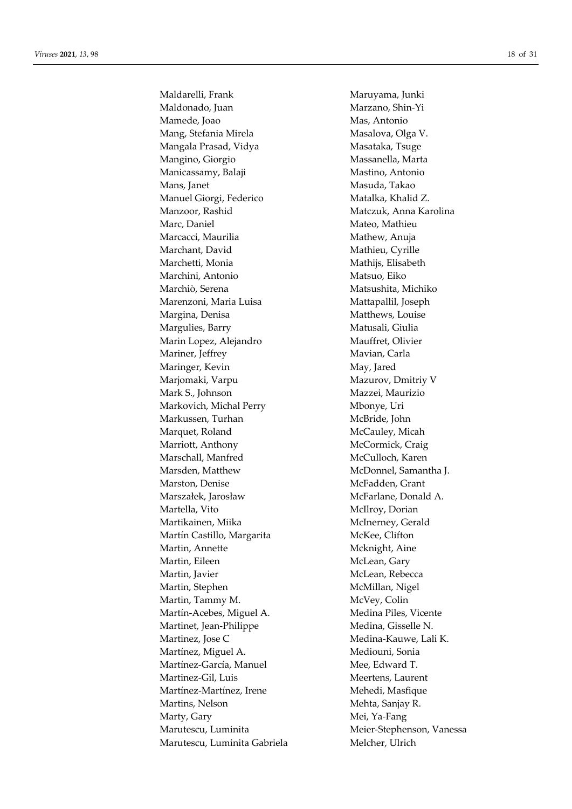Maldarelli, Frank Maruyama, Junki Maldonado, Juan Marzano, Shin-Yi Mamede, Joao Mas, Antonio Mang, Stefania Mirela Masalova, Olga V. Mangala Prasad, Vidya Masataka, Tsuge Mangino, Giorgio **Massanella**, Marta Manicassamy, Balaji Mastino, Antonio Mans, Janet Masuda, Takao Manuel Giorgi, Federico Matalka, Khalid Z. Manzoor, Rashid Matczuk, Anna Karolina Marc, Daniel **Mateo**, Mathieu Marcacci, Maurilia Mathew, Anuja Marchant, David Mathieu, Cyrille Marchetti, Monia Mathijs, Elisabeth Marchini, Antonio Matsuo, Eiko Marchiò, Serena Matsushita, Michiko Marenzoni, Maria Luisa Mattapallil, Joseph Margina, Denisa Matthews, Louise Margulies, Barry Matusali, Giulia Marin Lopez, Alejandro Mauffret, Olivier Mariner, Jeffrey Mavian, Carla Maringer, Kevin May, Jared Marjomaki, Varpu Mazurov, Dmitriy V Mark S., Johnson Mazzei, Maurizio Markovich, Michal Perry Mbonye, Uri Markussen, Turhan McBride, John Marquet, Roland McCauley, Micah Marriott, Anthony McCormick, Craig Marschall, Manfred McCulloch, Karen Marsden, Matthew McDonnel, Samantha J. Marston, Denise McFadden, Grant Marszałek, Jarosław McFarlane, Donald A. Martella, Vito McIlroy, Dorian Martikainen, Miika McInerney, Gerald Martín Castillo, Margarita McKee, Clifton Martin, Annette Mcknight, Aine Martin, Eileen McLean, Gary Martin, Javier McLean, Rebecca Martin, Stephen McMillan, Nigel Martin, Tammy M. McVey, Colin Martín-Acebes, Miguel A. Medina Piles, Vicente Martinet, Jean-Philippe Medina, Gisselle N. Martinez, Jose C Medina-Kauwe, Lali K. Martínez, Miguel A. Mediouni, Sonia Martínez-García, Manuel Mee, Edward T. Martinez-Gil, Luis Meertens, Laurent Martínez-Martínez, Irene Mehedi, Masfique Martins, Nelson Mehta, Sanjay R. Marty, Gary Mei, Ya-Fang Marutescu, Luminita Meier-Stephenson, Vanessa Marutescu, Luminita Gabriela Melcher, Ulrich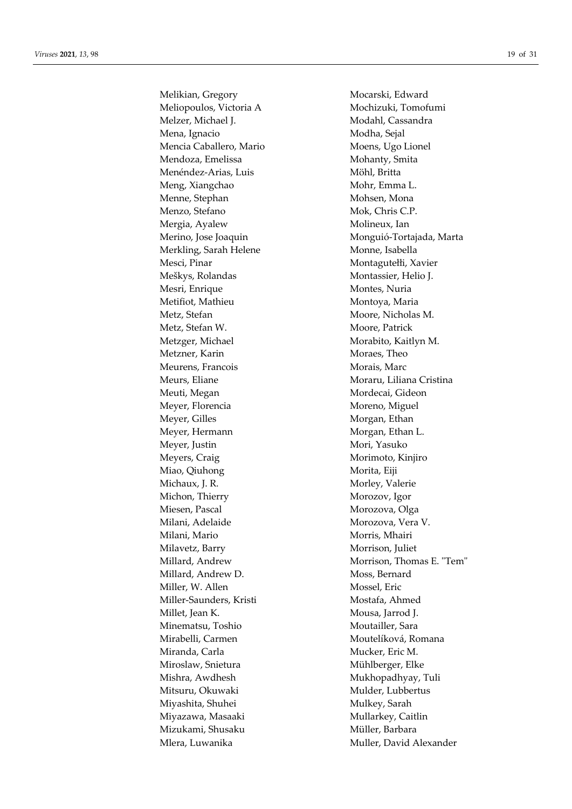Melikian, Gregory Mocarski, Edward Meliopoulos, Victoria A Mochizuki, Tomofumi Melzer, Michael J. Modahl, Cassandra Mena, Ignacio Modha, Sejal Mencia Caballero, Mario Moens, Ugo Lionel Mendoza, Emelissa Mohanty, Smita Menéndez-Arias, Luis Möhl, Britta Meng, Xiangchao Mohr, Emma L. Menne, Stephan Mohsen, Mohsen, Mona Menzo, Stefano Mok, Chris C.P. Mergia, Ayalew Molineux, Ian Merkling, Sarah Helene Monne, Isabella Mesci, Pinar Montagutełłi, Xavier Meškys, Rolandas Montassier, Helio J. Mesri, Enrique Montes, Nuria Metifiot, Mathieu Montoya, Maria Metz, Stefan Moore, Nicholas M. Metz, Stefan W. Moore, Patrick Metzger, Michael Morabito, Kaitlyn M. Metzner, Karin Moraes, Theo Meurens, Francois Morais, Marc Meurs, Eliane Moraru, Liliana Cristina Meuti, Megan Mordecai, Gideon Meyer, Florencia Moreno, Miguel Meyer, Gilles Morgan, Ethan Meyer, Hermann Morgan, Ethan L. Meyer, Justin Mori, Yasuko Meyers, Craig Morimoto, Kinjiro Miao, Qiuhong Morita, Eiji Michaux, J. R. Morley, Valerie Michon, Thierry Morozov, Igor Miesen, Pascal Morozova, Olga Milani, Adelaide Morozova, Vera V. Milani, Mario Morris, Mhairi Milavetz, Barry Morrison, Juliet Millard, Andrew D. Moss, Bernard Miller, W. Allen Mossel, Eric Miller-Saunders, Kristi Mostafa, Ahmed Millet, Jean K. Mousa, Jarrod J. Minematsu, Toshio Moutailler, Sara Mirabelli, Carmen Moutelíková, Romana Miranda, Carla Mucker, Eric M. Mühlberger, Elke Mishra, Awdhesh Mukhopadhyay, Tuli Mitsuru, Okuwaki Mulder, Lubbertus Miyashita, Shuhei Mulkey, Sarah Miyazawa, Masaaki Mullarkey, Caitlin Mizukami, Shusaku Müller, Barbara

Merino, Jose Joaquin Monguió-Tortajada, Marta Millard, Andrew Morrison, Thomas E. "Tem" Mlera, Luwanika Muller, David Alexander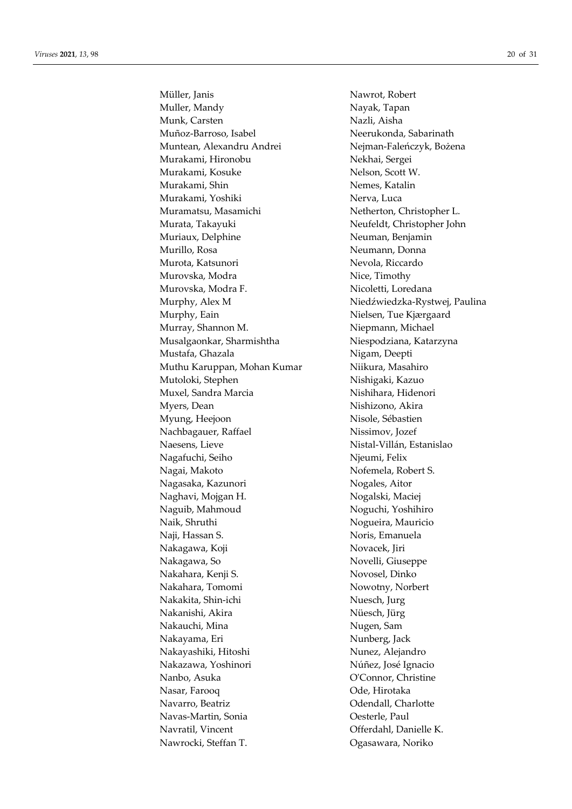Müller, Janis Nawrot, Robert Muller, Mandy Nayak, Tapan Munk, Carsten Nazli, Aisha Muñoz-Barroso, Isabel Neerukonda, Sabarinath Muntean, Alexandru Andrei Nejman-Faleńczyk, Bożena Murakami, Hironobu Nekhai, Sergei Murakami, Kosuke Nelson, Scott W. Murakami, Shin Nemes, Katalin Murakami, Yoshiki Nerva, Luca Muramatsu, Masamichi Netherton, Christopher L. Murata, Takayuki Neufeldt, Christopher John Muriaux, Delphine Neuman, Benjamin Murillo, Rosa Neumann, Donna Murota, Katsunori Nevola, Riccardo Murovska, Modra Nice, Timothy Murovska, Modra F. Nicoletti, Loredana Murphy, Alex M Niedźwiedzka-Rystwej, Paulina Murphy, Eain Nielsen, Tue Kjærgaard Murray, Shannon M. Niepmann, Michael Musalgaonkar, Sharmishtha Niespodziana, Katarzyna Mustafa, Ghazala Nigam, Deepti Muthu Karuppan, Mohan Kumar Niikura, Masahiro Mutoloki, Stephen Nishigaki, Kazuo Muxel, Sandra Marcia Nishihara, Hidenori Myers, Dean Nishizono, Akira Myung, Heejoon Nisole, Sébastien Nachbagauer, Raffael Nissimov, Jozef Naesens, Lieve Nistal-Villán, Estanislao Nagafuchi, Seiho Njeumi, Felix Nagai, Makoto Nofemela, Robert S. Nagasaka, Kazunori Nogales, Aitor Naghavi, Mojgan H. Nogalski, Maciej Naguib, Mahmoud Noguchi, Yoshihiro Naik, Shruthi Nogueira, Mauricio Naji, Hassan S. Noris, Emanuela Nakagawa, Koji Novacek, Jiri Nakagawa, So Novelli, Giuseppe Nakahara, Kenji S. Novosel, Dinko Nakahara, Tomomi Nowotny, Norbert Nakakita, Shin-ichi Nuesch, Jurg Nakanishi, Akira Nüesch, Jürg Nakauchi, Mina **Nugen**, Sam Nakayama, Eri **Nunberg**, Jack Nakayashiki, Hitoshi Nunez, Alejandro Nakazawa, Yoshinori Núñez, José Ignacio Nanbo, Asuka O'Connor, Christine Nasar, Farooq Ode, Hirotaka Navarro, Beatriz **Navarro, Beatriz Navarro, Beatriz Odendall**, Charlotte Navas-Martin, Sonia Oesterle, Paul Navratil, Vincent Offerdahl, Danielle K. Nawrocki, Steffan T. Ogasawara, Noriko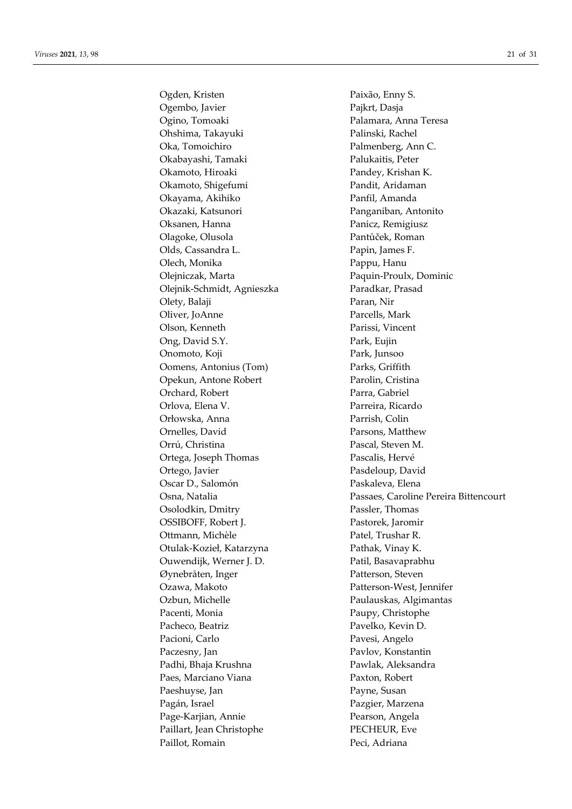Ogden, Kristen Paixão, Enny S. Ogembo, Javier Pajkrt, Dasja Ogino, Tomoaki Palamara, Anna Teresa Ohshima, Takayuki Palinski, Rachel Oka, Tomoichiro Palmenberg, Ann C. Okabayashi, Tamaki Palukaitis, Peter Okamoto, Hiroaki Pandey, Krishan K. Okamoto, Shigefumi Pandit, Aridaman Okayama, Akihiko Panfil, Amanda Okazaki, Katsunori Panganiban, Antonito Oksanen, Hanna Panicz, Remigiusz Olagoke, Olusola Pantůček, Roman Olds, Cassandra L. Papin, James F. Olech, Monika Pappu, Hanu Olejniczak, Marta Paquin-Proulx, Dominic Olejnik-Schmidt, Agnieszka Paradkar, Prasad Olety, Balaji Paran, Nir Oliver, JoAnne Parcells, Mark Olson, Kenneth Parissi, Vincent Ong, David S.Y. Park, Eujin Onomoto, Koji Park, Junsoo Oomens, Antonius (Tom) Parks, Griffith Opekun, Antone Robert Parolin, Cristina Orchard, Robert Parra, Gabriel Orlova, Elena V. Parreira, Ricardo Orłowska, Anna Parrish, Colin Ornelles, David Parsons, Matthew Orrú, Christina Pascal, Steven M. Ortega, Joseph Thomas Pascalis, Hervé Ortego, Javier Pasdeloup, David Oscar D., Salomón Paskaleva, Elena Osolodkin, Dmitry Passler, Thomas OSSIBOFF, Robert J. Pastorek, Jaromir Ottmann, Michèle Patel, Trushar R. Otulak-Kozieł, Katarzyna Pathak, Vinay K. Ouwendijk, Werner J. D. Patil, Basavaprabhu Øynebråten, Inger Patterson, Steven Ozawa, Makoto Patterson-West, Jennifer Ozbun, Michelle Paulauskas, Algimantas Pacenti, Monia Paupy, Christophe Pacheco, Beatriz Pavelko, Kevin D. Pacioni, Carlo Pavesi, Angelo Paczesny, Jan Pavlov, Konstantin Padhi, Bhaja Krushna Pawlak, Aleksandra Paes, Marciano Viana Paxton, Robert Paeshuyse, Jan Payne, Susan Pagán, Israel Pazgier, Marzena Page-Karjian, Annie Pearson, Angela Paillart, Jean Christophe PECHEUR, Eve Paillot, Romain Peci, Adriana

Osna, Natalia Passaes, Caroline Pereira Bittencourt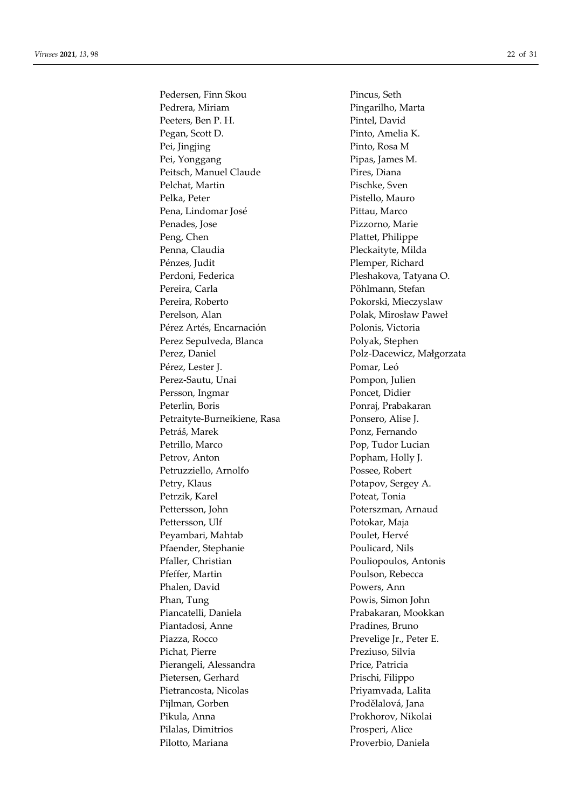Pedersen, Finn Skou Pincus, Seth Pedrera, Miriam Pingarilho, Marta Peeters, Ben P. H. Pintel, David Pegan, Scott D. Pinto, Amelia K. Pei, Jingjing Pinto, Rosa M Pei, Yonggang Pipas, James M. Peitsch, Manuel Claude Pires, Diana Pelchat, Martin Pischke, Sven Pelka, Peter Pistello, Mauro Pena, Lindomar José Pittau, Marco Penades, Jose Pizzorno, Marie Peng, Chen Plattet, Philippe Penna, Claudia Pleckaityte, Milda Pénzes, Judit Penper, Richard Perdoni, Federica Pleshakova, Tatyana O. Pereira, Carla Pöhlmann, Stefan Pereira, Roberto Pokorski, Mieczyslaw Perelson, Alan Polak, Mirosław Paweł Pérez Artés, Encarnación Polonis, Victoria Perez Sepulveda, Blanca Polyak, Stephen Perez, Daniel Polz-Dacewicz, Małgorzata Pérez, Lester J. Pomar, Leó Perez-Sautu, Unai Pompon, Julien Persson, Ingmar Poncet, Didier Peterlin, Boris Ponraj, Prabakaran Petraityte-Burneikiene, Rasa Ponsero, Alise J. Petráš, Marek Ponz, Fernando Petrillo, Marco Pop, Tudor Lucian Petrov, Anton Popham, Holly J. Petruzziello, Arnolfo Possee, Robert Petry, Klaus Potapov, Sergey A. Petrzik, Karel Poteat, Tonia Pettersson, John Poterszman, Arnaud Pettersson, Ulf Potokar, Maja Peyambari, Mahtab Poulet, Hervé Pfaender, Stephanie Poulicard, Nils Pfaller, Christian Pouliopoulos, Antonis Pfeffer, Martin Poulson, Rebecca Phalen, David Powers, Ann Phan, Tung Powis, Simon John Piancatelli, Daniela Prabakaran, Mookkan Piantadosi, Anne Pradines, Bruno Piazza, Rocco Prevelige Ir., Peter E. Pichat, Pierre Preziuso, Silvia Pierangeli, Alessandra Price, Patricia Pietersen, Gerhard Prischi, Filippo Pietrancosta, Nicolas Priyamvada, Lalita Piilman, Gorben Prodělalová, Jana Pikula, Anna Prokhorov, Nikolai Pilalas, Dimitrios Prosperi, Alice Pilotto, Mariana Proverbio, Daniela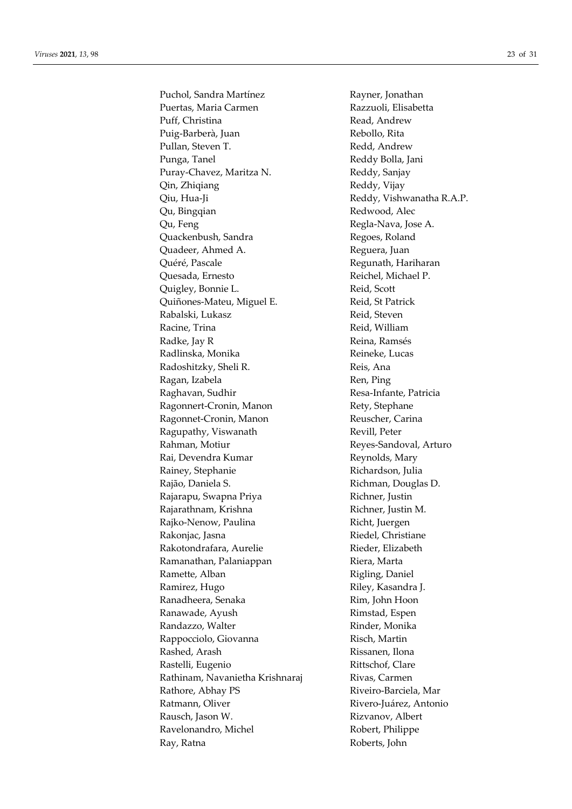Puchol, Sandra Martínez Rayner, Jonathan Puertas, Maria Carmen Razzuoli, Elisabetta Puff, Christina Read, Andrew Puig-Barberà, Juan Rebollo, Rita Pullan, Steven T. **Redd**, Andrew Punga, Tanel Reddy Bolla, Jani Puray-Chavez, Maritza N. Reddy, Sanjay Qin, Zhiqiang **Reddy, Vijay** Reddy, Vijay Qiu, Hua-Ji Reddy, Vishwanatha R.A.P. Qu, Bingqian Redwood, Alec Qu, Feng Regla-Nava, Jose A. Quackenbush, Sandra Regoes, Roland Quadeer, Ahmed A. Sandwich and Reguera, Juan Quéré, Pascale **Regunath, Hariharan** Quesada, Ernesto Reichel, Michael P. Quigley, Bonnie L. **Reid**, Scott Quiñones-Mateu, Miguel E. Reid, St Patrick Rabalski, Lukasz **Reid, Steven** Racine, Trina Reid, William Radke, Jay R<br>
Reina, Ramsés Radlinska, Monika Reineke, Lucas Radoshitzky, Sheli R. Keis, Ana Ragan, Izabela **Ren**, Ping Raghavan, Sudhir **Resa-Infante**, Patricia Ragonnert-Cronin, Manon Rety, Stephane Ragonnet-Cronin, Manon Reuscher, Carina Ragupathy, Viswanath Revill, Peter Rahman, Motiur **Reyes-Sandoval, Arturo** Rai, Devendra Kumar Reynolds, Mary Rainey, Stephanie Richardson, Julia Rajão, Daniela S. Richman, Douglas D. Rajarapu, Swapna Priya **Richner**, Justin Rajarathnam, Krishna **Richner**, Justin M. Rajko-Nenow, Paulina Richt, Juergen Rakonjac, Jasna Riedel, Christiane Rakotondrafara, Aurelie Rieder, Elizabeth Ramanathan, Palaniappan Riera, Marta Ramette, Alban Rigling, Daniel Ramirez, Hugo Riley, Kasandra J. Ranadheera, Senaka Rim, John Hoon Ranawade, Ayush **Rimstad, Espen** Randazzo, Walter **Rinder**, Monika Rappocciolo, Giovanna and Risch, Martin Rashed, Arash Rissanen, Ilona Rastelli, Eugenio Rittschof, Clare Rathinam, Navanietha Krishnaraj Rivas, Carmen Rathore, Abhay PS Riveiro-Barciela, Mar Ratmann, Oliver **Rivero-Luárez**, Antonio Rausch, Jason W. **Rizvanov**, Albert Ravelonandro, Michel Robert, Philippe Ray, Ratna Roberts, John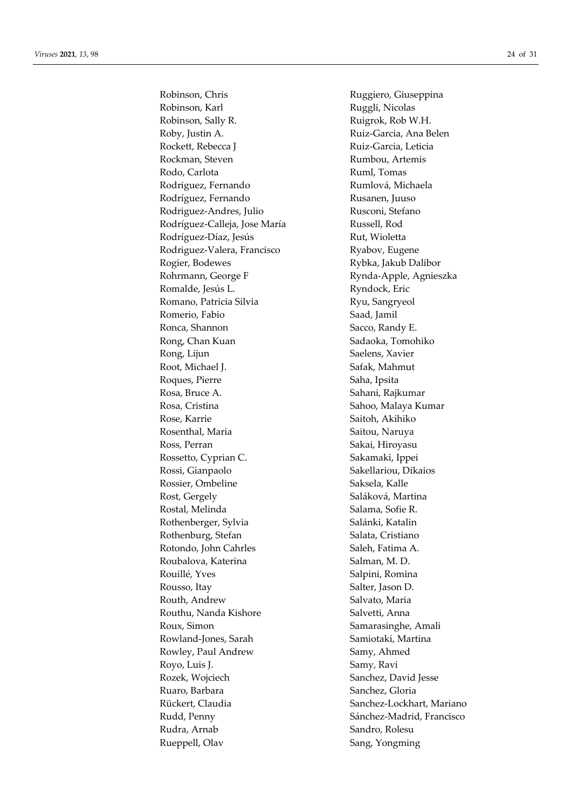Robinson, Karl Ruggli, Nicolas Robinson, Sally R. **Ruigrok**, Rob W.H. Roby, Justin A. **Ruiz-Garcia**, Ana Belen Rockett, Rebecca J Ruiz-Garcia, Leticia Rockman, Steven Rumbou, Artemis Rodo, Carlota **Ruml**, Tomas Rodriguez, Fernando Rumlová, Michaela Rodríguez, Fernando Rusanen, Juuso Rodriguez-Andres, Julio Rusconi, Stefano Rodríguez-Calleja, Jose María Russell, Rod Rodríguez-Díaz, Jesús Rut, Wioletta Rodriguez-Valera, Francisco Ryabov, Eugene Rogier, Bodewes Rybka, Jakub Dalibor Rohrmann, George F Rynda-Apple, Agnieszka Romalde, Jesús L. Ryndock, Eric Romano, Patricia Silvia Ryu, Sangryeol Romerio, Fabio **Saad**, Jamil Ronca, Shannon Sacco, Randy E. Rong, Chan Kuan Sadaoka, Tomohiko Rong, Lijun Saelens, Xavier Root, Michael J. Safak, Mahmut Roques, Pierre Saha, Ipsita Rosa, Bruce A. Sahani, Rajkumar Rosa, Cristina  $S$ ahoo, Malaya Kumar Rose, Karrie Saitoh, Akihiko Rosenthal, Maria **Naria Naria Saitou, Naruya** Ross, Perran Sakai, Hiroyasu Rossetto, Cyprian C. Sakamaki, Ippei Rossi, Gianpaolo Sakellariou, Dikaios Rossier, Ombeline Saksela, Kalle Rost, Gergely Saláková, Martina Rostal, Melinda Salama, Sofie R. Rothenberger, Sylvia Salánki, Katalin Rothenburg, Stefan Salata, Cristiano Rotondo, John Cahrles Saleh, Fatima A. Roubalova, Katerina Salman, M. D. Rouillé, Yves Salpini, Romina Rousso, Itay Salter, Jason D. Routh, Andrew Salvato, Maria Routhu, Nanda Kishore Salvetti, Anna Roux, Simon Samarasinghe, Amali Rowland-Jones, Sarah Samiotaki, Martina Rowley, Paul Andrew Samy, Ahmed Royo, Luis J. Samy, Ravi Rozek, Wojciech Sanchez, David Jesse Ruaro, Barbara (Gloria) (Sanchez, Gloria) Rückert, Claudia Sanchez-Lockhart, Mariano Rudd, Penny Sánchez-Madrid, Francisco Rudra, Arnab Sandro, Rolesu Rueppell, Olav Sang, Yongming

Robinson, Chris Ruggiero, Giuseppina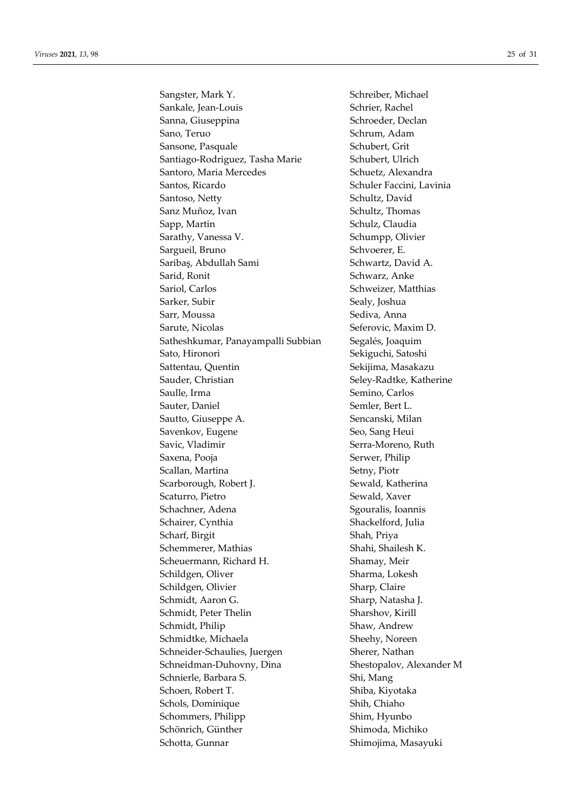Sangster, Mark Y. Schreiber, Michael Sankale, Jean-Louis Schrier, Rachel Sanna, Giuseppina Schroeder, Declan Sano, Teruo Schrum, Adam Sansone, Pasquale Schubert, Grit Santiago-Rodriguez, Tasha Marie Schubert, Ulrich Santoro, Maria Mercedes Schuetz, Alexandra Santos, Ricardo Schuler Faccini, Lavinia Santoso, Netty Schultz, David Sanz Muñoz, Ivan Schultz, Thomas Sapp, Martin Sapp, Martin Schulz, Claudia Sarathy, Vanessa V. Schumpp, Olivier Sargueil, Bruno Schvoerer, E. Saribaş, Abdullah Sami Schwartz, David A. Sarid, Ronit Schwarz, Anke Sariol, Carlos Schweizer, Matthias Sarker, Subir Sealy, Joshua Sarr, Moussa Sediva, Anna Sarute, Nicolas Seferovic, Maxim D. Satheshkumar, Panayampalli Subbian Segalés, Joaquim Sato, Hironori Sekiguchi, Satoshi Sattentau, Quentin Sekijima, Masakazu Sauder, Christian Seley-Radtke, Katherine Saulle, Irma Semino, Carlos Sauter, Daniel Semler, Bert L. Sautto, Giuseppe A. Sencanski, Milan Savenkov, Eugene Seo, Sang Heui Savic, Vladimir Savic, Vladimir Serra-Moreno, Ruth Saxena, Pooja Serwer, Philip Scallan, Martina Setny, Piotr Scarborough, Robert J. Sewald, Katherina Scaturro, Pietro Sewald, Xaver Schachner, Adena Sgouralis, Ioannis Schairer, Cynthia Shackelford, Julia Scharf, Birgit Shah, Priya Schemmerer, Mathias Shahi, Shahi, Shailesh K. Scheuermann, Richard H. Shamay, Meir Schildgen, Oliver Sharma, Lokesh Schildgen, Olivier Sharp, Claire Schmidt, Aaron G. Sharp, Natasha J. Schmidt, Peter Thelin Sharshov, Kirill Schmidt, Philip Shaw, Andrew Schmidtke, Michaela Sheehy, Noreen Schneider-Schaulies, Juergen Sherer, Nathan Schneidman-Duhovny, Dina Shestopalov, Alexander M Schnierle, Barbara S. Shi, Mang Schoen, Robert T. Shiba, Kiyotaka Schols, Dominique Shih, Chiaho Schommers, Philipp Shim, Hyunbo Schönrich, Günther Shimoda, Michiko Schotta, Gunnar Shimojima, Masayuki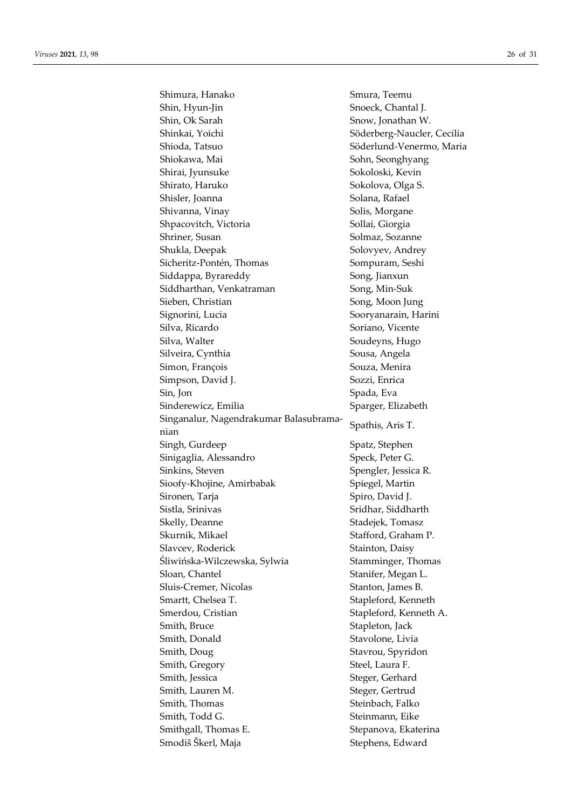Shimura, Hanako Smura, Teemu Shin, Hyun-Jin Snoeck, Chantal J. Shin, Ok Sarah Snow, Jonathan W. Shinkai, Yoichi Söderberg-Naucler, Cecilia Shioda, Tatsuo Söderlund-Venermo, Maria Shiokawa, Mai  $Sohn$ , Seonghyang Shirai, Jyunsuke Sokoloski, Kevin Shirato, Haruko Sokolova, Olga S. Shisler, Joanna Solana, Rafael Shivanna, Vinay Solis, Morgane Shpacovitch, Victoria Sollai, Giorgia Shriner, Susan Solmaz, Sozanne Shukla, Deepak Solovyev, Andrey Sicheritz-Pontén, Thomas Sompuram, Seshi Siddappa, Byrareddy Song, Jianxun Siddharthan, Venkatraman Song, Min-Suk Sieben, Christian Song, Moon Jung Signorini, Lucia Sooryanarain, Harini Silva, Ricardo Soriano, Vicente Silva, Walter Soudeyns, Hugo Silveira, Cynthia Sousa, Angela Simon, François Souza, Menira Simpson, David J. Sozzi, Enrica Sin, Jon Spada, Eva Sinderewicz, Emilia Sparger, Elizabeth Singanalur, Nagendrakumar Balasubramanian Spathis, Aris T. Singh, Gurdeep Spatz, Stephen Sinigaglia, Alessandro Speck, Peter G. Sinkins, Steven Spengler, Jessica R. Sioofy-Khojine, Amirbabak Spiegel, Martin Sironen, Tarja Spiro, David J. Sistla, Srinivas Sridhar, Siddharth Skelly, Deanne Stadejek, Tomasz Skurnik, Mikael Stafford, Graham P. Slavcev, Roderick Stainton, Daisy Śliwińska-Wilczewska, Sylwia Stamminger, Thomas Sloan, Chantel Sloan, Chantel Stanifer, Megan L. Sluis-Cremer, Nicolas Stanton, James B. Smartt, Chelsea T. Stapleford, Kenneth Smerdou, Cristian Stapleford, Kenneth A. Smith, Bruce Stapleton, Jack Smith, Donald Stavolone, Livia Smith, Doug Stavrou, Spyridon Smith, Gregory Steel, Laura F. Smith, Jessica Steger, Gerhard Smith, Lauren M. Steger, Gertrud Smith, Thomas Steinbach, Falko Smith, Todd G. Steinmann, Eike Smithgall, Thomas E. Stepanova, Ekaterina Smodiš Škerl, Maja Stephens, Edward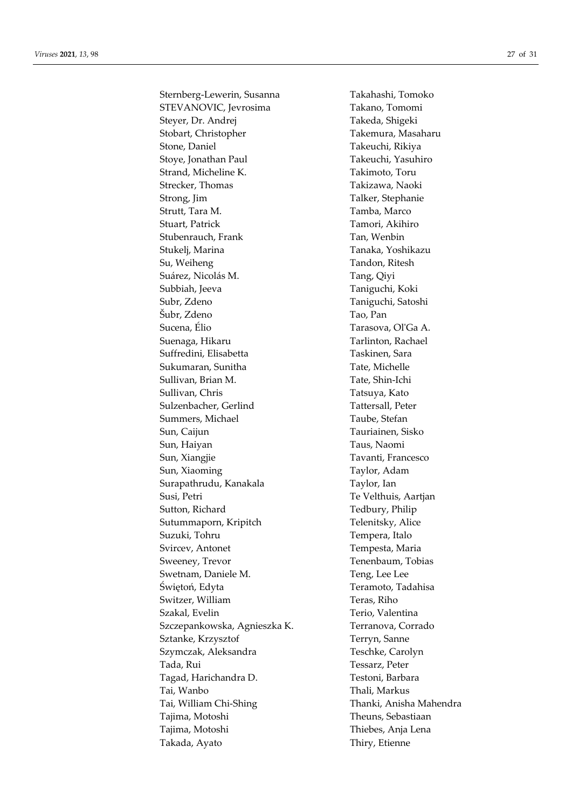Sternberg-Lewerin, Susanna Takahashi, Tomoko STEVANOVIC, Jevrosima Takano, Tomomi Steyer, Dr. Andrej Takeda, Shigeki Stobart, Christopher Takemura, Masaharu Stone, Daniel Takeuchi, Rikiya Stoye, Jonathan Paul Takeuchi, Yasuhiro Strand, Micheline K. Takimoto, Toru Strecker, Thomas Takizawa, Naoki Strong, Jim Talker, Stephanie Strutt, Tara M. Tamba, Marco Stuart, Patrick Tamori, Akihiro Stubenrauch, Frank Tan, Wenbin Stukelj, Marina Tanaka, Yoshikazu Su, Weiheng Tandon, Ritesh Suárez, Nicolás M. Tang, Qiyi Subbiah, Jeeva Taniguchi, Koki Subr, Zdeno Taniguchi, Satoshi Šubr, Zdeno Tao, Pan Sucena, Élio Tarasova, Ol'Ga A. Suenaga, Hikaru Tarlinton, Rachael Suffredini, Elisabetta Taskinen, Sara Sukumaran, Sunitha Tate, Michelle Sullivan, Brian M. Tate, Shin-Ichi Sullivan, Chris Tatsuya, Kato Sulzenbacher, Gerlind Tattersall, Peter Summers, Michael Taube, Stefan Sun, Caijun Tauriainen, Sisko Sun, Haiyan Taus, Naomi Sun, Xiangjie Tavanti, Francesco Sun, Xiaoming Taylor, Adam Surapathrudu, Kanakala Taylor, Ian Susi, Petri Te Velthuis, Aartjan Sutton, Richard Tedbury, Philip Sutummaporn, Kripitch Telenitsky, Alice Suzuki, Tohru Tempera, Italo Svircev, Antonet Tempesta, Maria Sweeney, Trevor Tenenbaum, Tobias Swetnam, Daniele M. Teng, Lee Lee Świętoń, Edyta Teramoto, Tadahisa Switzer, William Teras, Riho Szakal, Evelin Terio, Valentina Szczepankowska, Agnieszka K. Terranova, Corrado Sztanke, Krzysztof Terryn, Sanne Szymczak, Aleksandra Teschke, Carolyn Tada, Rui Tessarz, Peter Tagad, Harichandra D. Testoni, Barbara Tai, Wanbo Thali, Markus Tai, William Chi-Shing Thanki, Anisha Mahendra Tajima, Motoshi Theuns, Sebastiaan Tajima, Motoshi Thiebes, Anja Lena Takada, Ayato Thiry, Etienne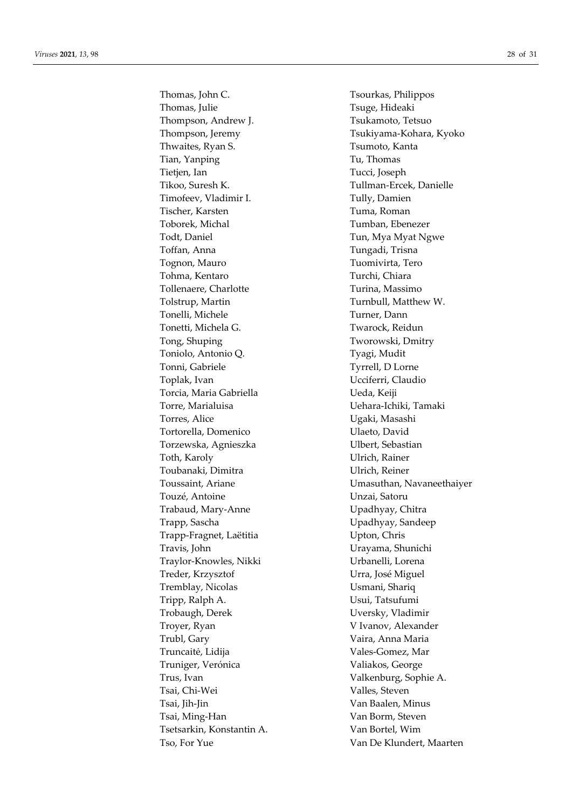Thomas, Julie Tsuge, Hideaki Thompson, Andrew J. Tsukamoto, Tetsuo Thompson, Jeremy Tsukiyama-Kohara, Kyoko Thwaites, Ryan S. Tsumoto, Kanta Tian, Yanping Tu, Thomas Tietjen, Ian Tucci, Joseph Tikoo, Suresh K. Tullman-Ercek, Danielle Timofeev, Vladimir I. Tully, Damien Tischer, Karsten Tuma, Roman Toborek, Michal Tumban, Ebenezer Todt, Daniel Tun, Mya Myat Ngwe Toffan, Anna Tungadi, Trisna Tognon, Mauro Tuomivirta, Tero Tohma, Kentaro Turchi, Chiara Tollenaere, Charlotte Turina, Massimo Tolstrup, Martin Turnbull, Matthew W. Tonelli, Michele Turner, Dann Tonetti, Michela G. Twarock, Reidun Tong, Shuping Tworowski, Dmitry Toniolo, Antonio Q. Tyagi, Mudit Tonni, Gabriele Tyrrell, D Lorne Toplak, Ivan Ucciferri, Claudio Torcia, Maria Gabriella Veda, Keiji Torre, Marialuisa **Vehara-Ichiki**, Tamaki Torres, Alice Ugaki, Masashi Tortorella, Domenico Ulaeto, David Torzewska, Agnieszka Ulbert, Sebastian Toth, Karoly Ulrich, Rainer Toubanaki, Dimitra Ulrich, Reiner Touzé, Antoine Unzai, Satoru Trabaud, Mary-Anne Upadhyay, Chitra Trapp, Sascha Upadhyay, Sandeep Trapp-Fragnet, Laëtitia Upton, Chris Travis, John Urayama, Shunichi Traylor-Knowles, Nikki Urbanelli, Lorena Treder, Krzysztof Urra, José Miguel Tremblay, Nicolas Usmani, Shariq Tripp, Ralph A. Usui, Tatsufumi Trobaugh, Derek Uversky, Vladimir Troyer, Ryan V Ivanov, Alexander Trubl, Gary Vaira, Anna Maria Truncaitė, Lidija Vales-Gomez, Mar Truniger, Verónica Valiakos, George Trus, Ivan Valkenburg, Sophie A. Tsai, Chi-Wei Valles, Steven Tsai, Jih-Jin Van Baalen, Minus Tsai, Ming-Han Van Borm, Steven Tsetsarkin, Konstantin A. Van Bortel, Wim Tso, For Yue Van De Klundert, Maarten

Thomas, John C. Tsourkas, Philippos Toussaint, Ariane Vermann and Umasuthan, Navaneethaiyer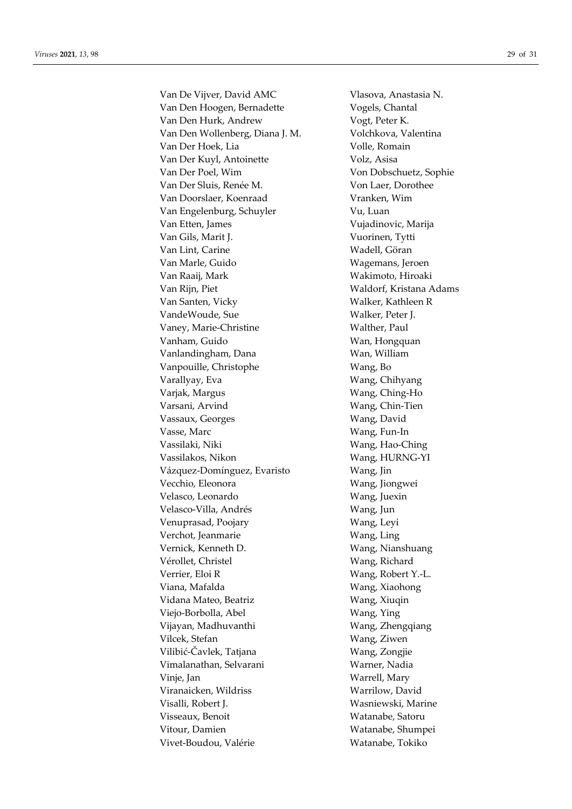Van De Vijver, David AMC Vlasova, Anastasia N. Van Den Hoogen, Bernadette Vogels, Chantal Van Den Hurk, Andrew Vogt, Peter K. Van Den Wollenberg, Diana J. M. Volchkova, Valentina Van Der Hoek, Lia Volle, Romain Van Der Kuyl, Antoinette Volz, Asisa Van Der Poel, Wim Von Dobschuetz, Sophie Van Der Sluis, Renée M. Von Laer, Dorothee Van Doorslaer, Koenraad Vranken, Wim Van Engelenburg, Schuyler Vu, Luan Van Etten, James Vujadinovic, Marija Van Gils, Marit J. Vuorinen, Tytti Van Lint, Carine Wadell, Göran Van Marle, Guido Wagemans, Jeroen Van Raaij, Mark Wakimoto, Hiroaki Van Rijn, Piet Waldorf, Kristana Adams Van Santen, Vicky Walker, Kathleen R VandeWoude, Sue Walker, Peter J. Vaney, Marie-Christine Walther, Paul Vanham, Guido Wan, Hongquan Vanlandingham, Dana Wan, William Vanpouille, Christophe Wang, Bo Varallyay, Eva Wang, Chihyang Varjak, Margus Wang, Ching-Ho Varsani, Arvind Wang, Chin-Tien Vassaux, Georges Wang, David Vasse, Marc Wang, Fun-In Vassilaki, Niki Wang, Hao-Ching Vassilakos, Nikon Wang, HURNG-YI Vázquez-Domínguez, Evaristo Wang, Jin Vecchio, Eleonora Wang, Jiongwei Velasco, Leonardo Wang, Juexin Velasco-Villa, Andrés **Wang**, Jun Venuprasad, Poojary **Wang, Leyi** Verchot, Jeanmarie Wang, Ling Vernick, Kenneth D. Wang, Nianshuang Vérollet, Christel Wang, Richard Verrier, Eloi R<br>Wang, Robert Y.-L. Viana, Mafalda **Wang, Xiaohong** Vidana Mateo, Beatriz Wang, Xiuqin Viejo-Borbolla, Abel Wang, Ying Vijayan, Madhuvanthi Wang, Zhengqiang Vilcek, Stefan Wang, Ziwen Vilibić-Čavlek, Tatjana Wang, Zongjie Vimalanathan, Selvarani Warner, Nadia Vinje, Jan Warrell, Mary Viranaicken, Wildriss Warrilow, David Visalli, Robert J. Wasniewski, Marine Visseaux, Benoit Watanabe, Satoru Vitour, Damien Watanabe, Shumpei Vivet-Boudou, Valérie Watanabe, Tokiko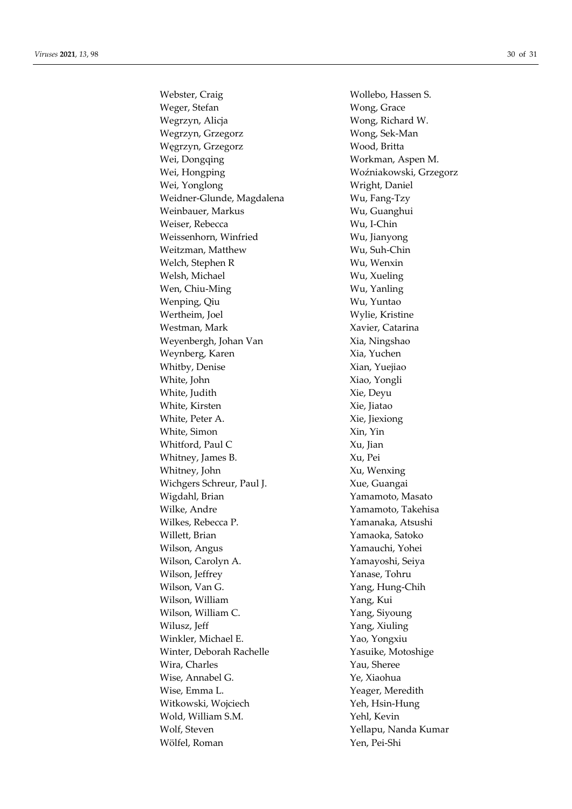Webster, Craig Wollebo, Hassen S. Weger, Stefan Wong, Grace Wegrzyn, Alicja **Wong**, Richard W. Wegrzyn, Grzegorz Wong, Sek-Man Węgrzyn, Grzegorz Wood, Britta Wei, Dongqing Workman, Aspen M. Wei, Hongping Woźniakowski, Grzegorz Wei, Yonglong Wright, Daniel Weidner-Glunde, Magdalena Wu, Fang-Tzy Weinbauer, Markus Wu, Guanghui Weiser, Rebecca Wu, I-Chin Weissenhorn, Winfried Wu, Jianyong Weitzman, Matthew Wu, Suh-Chin Welch, Stephen R Wu, Wenxin Welsh, Michael Wu, Xueling Wen, Chiu-Ming Wu, Yanling Wenping, Qiu Wu, Yuntao Wertheim, Joel Wylie, Kristine Westman, Mark Xavier, Catarina Weyenbergh, Johan Van Xia, Ningshao Weynberg, Karen Xia, Yuchen Whitby, Denise Xian, Yuejiao White, John Xiao, Yongli White, Judith Xie, Deyu White, Kirsten Xie, Jiatao White, Peter A. Xie, Jiexiong White, Simon Xin, Yin Whitford, Paul C Xu, Jian Whitney, James B. Xu, Pei Whitney, John Xu, Wenxing Wichgers Schreur, Paul J. Xue, Guangai Wigdahl, Brian Yamamoto, Masato Wilke, Andre Yamamoto, Takehisa Wilkes, Rebecca P. Yamanaka, Atsushi Willett, Brian Yamaoka, Satoko Wilson, Angus Yamauchi, Yohei Wilson, Carolyn A. Yamayoshi, Seiya Wilson, Jeffrey Yanase, Tohru Wilson, Van G. Yang, Hung-Chih Wilson, William Yang, Kui Wilson, William C. Yang, Siyoung Wilusz, Jeff Yang, Xiuling Winkler, Michael E. Yao, Yongxiu Winter, Deborah Rachelle Yasuike, Motoshige Wira, Charles The Charles Nau, Sheree Wise, Annabel G. Ye, Xiaohua Wise, Emma L. Yeager, Meredith Witkowski, Wojciech Yeh, Hsin-Hung Wold, William S.M. Yehl, Kevin Wolf, Steven Yellapu, Nanda Kumar Wölfel, Roman Yen, Pei-Shi